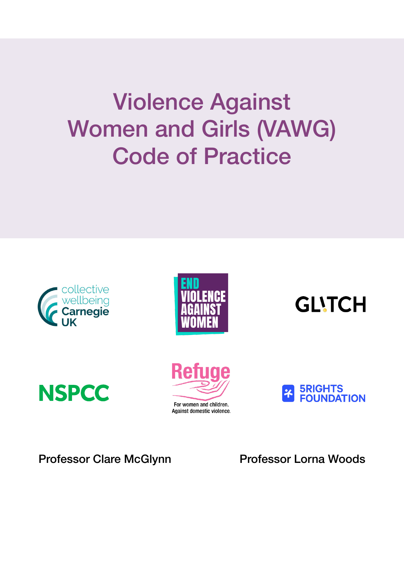# Violence Against Women and Girls (VAWG) Code of Practice













Professor Clare McGlynn Professor Lorna Woods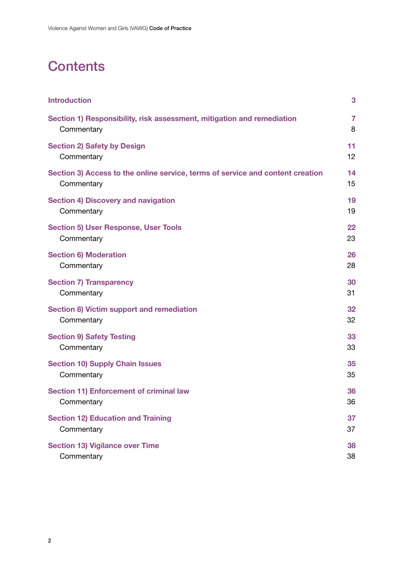# **Contents**

| <b>Introduction</b>                                                            | 3              |
|--------------------------------------------------------------------------------|----------------|
| Section 1) Responsibility, risk assessment, mitigation and remediation         | $\overline{7}$ |
| Commentary                                                                     | 8              |
| <b>Section 2) Safety by Design</b>                                             | 11             |
| Commentary                                                                     | 12             |
| Section 3) Access to the online service, terms of service and content creation | 14             |
| Commentary                                                                     | 15             |
| <b>Section 4) Discovery and navigation</b>                                     | 19             |
| Commentary                                                                     | 19             |
| <b>Section 5) User Response, User Tools</b>                                    | 22             |
| Commentary                                                                     | 23             |
| <b>Section 6) Moderation</b>                                                   | 26             |
| Commentary                                                                     | 28             |
| <b>Section 7) Transparency</b>                                                 | 30             |
| Commentary                                                                     | 31             |
| <b>Section 8) Victim support and remediation</b>                               | 32             |
| Commentary                                                                     | 32             |
| <b>Section 9) Safety Testing</b>                                               | 33             |
| Commentary                                                                     | 33             |
| <b>Section 10) Supply Chain Issues</b>                                         | 35             |
| Commentary                                                                     | 35             |
| <b>Section 11) Enforcement of criminal law</b>                                 | 36             |
| Commentary                                                                     | 36             |
| <b>Section 12) Education and Training</b>                                      | 37             |
| Commentary                                                                     | 37             |
| <b>Section 13) Vigilance over Time</b>                                         | 38             |
| Commentary                                                                     | 38             |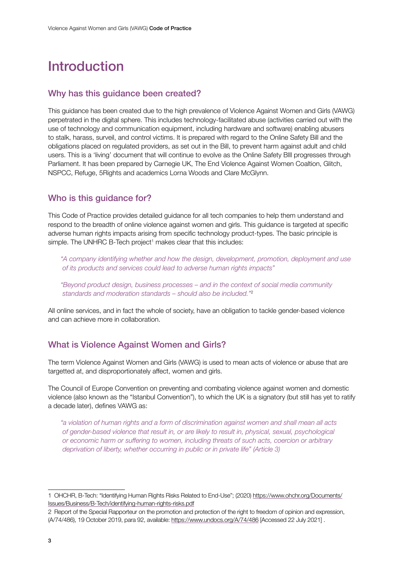# <span id="page-2-0"></span>Introduction

#### Why has this guidance been created?

This guidance has been created due to the high prevalence of Violence Against Women and Girls (VAWG) perpetrated in the digital sphere. This includes technology-facilitated abuse (activities carried out with the use of technology and communication equipment, including hardware and software) enabling abusers to stalk, harass, surveil, and control victims. It is prepared with regard to the Online Safety Bill and the obligations placed on regulated providers, as set out in the Bill, to prevent harm against adult and child users. This is a 'living' document that will continue to evolve as the Online Safety BIll progresses through Parliament. It has been prepared by Carnegie UK, The End Violence Against Women Coaltion, Glitch, NSPCC, Refuge, 5Rights and academics Lorna Woods and Clare McGlynn.

### Who is this guidance for?

This Code of Practice provides detailed guidance for all tech companies to help them understand and respond to the breadth of online violence against women and girls. This guidance is targeted at specific adverse human rights impacts arising from specific technology product-types. The basic principle is simple. The UNHRC B-Tech project<sup>1</sup> makes clear that this includes:

*"A company identifying whether and how the design, development, promotion, deployment and use of its products and services could lead to adverse human rights impacts"*

*"Beyond product design, business processes – and in the context of social media community standards and moderation standards – should also be included."*<sup>2</sup>

All online services, and in fact the whole of society, have an obligation to tackle gender-based violence and can achieve more in collaboration.

### What is Violence Against Women and Girls?

The term Violence Against Women and Girls (VAWG) is used to mean acts of violence or abuse that are targetted at, and disproportionately affect, women and girls.

The Council of Europe Convention on preventing and combating violence against women and domestic violence (also known as the "Istanbul Convention"), to which the UK is a signatory (but still has yet to ratify a decade later), defines VAWG as:

*"a violation of human rights and a form of discrimination against women and shall mean all acts of gender-based violence that result in, or are likely to result in, physical, sexual, psychological or economic harm or suffering to women, including threats of such acts, coercion or arbitrary deprivation of liberty, whether occurring in public or in private life" (Article 3)*

<sup>1</sup> OHCHR, B-Tech: "Identifying Human Rights Risks Related to End-Use"; (2020) [https://www.ohchr.org/Documents/](https://www.ohchr.org/Documents/Issues/Business/B-Tech/identifying-human-rights-risks.pdf) [Issues/Business/B-Tech/identifying-human-rights-risks.pdf](https://www.ohchr.org/Documents/Issues/Business/B-Tech/identifying-human-rights-risks.pdf)

<sup>2</sup> Report of the Special Rapporteur on the promotion and protection of the right to freedom of opinion and expression, (A/74/486), 19 October 2019, para 92, available[: https://www.undocs.org/A/74/486](https://www.undocs.org/A/74/486) [Accessed 22 July 2021] .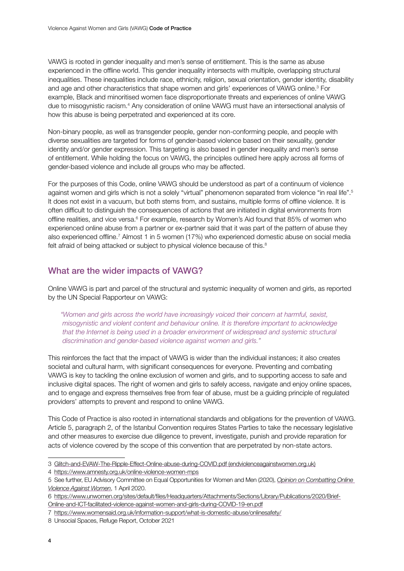VAWG is rooted in gender inequality and men's sense of entitlement. This is the same as abuse experienced in the offline world. This gender inequality intersects with multiple, overlapping structural inequalities. These inequalities include race, ethnicity, religion, sexual orientation, gender identity, disability and age and other characteristics that shape women and girls' experiences of VAWG online.<sup>3</sup> For example, Black and minoritised women face disproportionate threats and experiences of online VAWG due to misogynistic racism.<sup>4</sup> Any consideration of online VAWG must have an intersectional analysis of how this abuse is being perpetrated and experienced at its core.

Non-binary people, as well as transgender people, gender non-conforming people, and people with diverse sexualities are targeted for forms of gender-based violence based on their sexuality, gender identity and/or gender expression. This targeting is also based in gender inequality and men's sense of entitlement. While holding the focus on VAWG, the principles outlined here apply across all forms of gender-based violence and include all groups who may be affected.

For the purposes of this Code, online VAWG should be understood as part of a continuum of violence against women and girls which is not a solely "virtual" phenomenon separated from violence "in real life".<sup>5</sup> It does not exist in a vacuum, but both stems from, and sustains, multiple forms of offline violence. It is often difficult to distinguish the consequences of actions that are initiated in digital environments from offline realities, and vice versa.<sup>6</sup> For example, research by Women's Aid found that 85% of women who experienced online abuse from a partner or ex-partner said that it was part of the pattern of abuse they also experienced offline.<sup>7</sup> Almost 1 in 5 women (17%) who experienced domestic abuse on social media felt afraid of being attacked or subject to physical violence because of this.<sup>8</sup>

### What are the wider impacts of VAWG?

Online VAWG is part and parcel of the structural and systemic inequality of women and girls, as reported by the UN Special Rapporteur on VAWG:

*"Women and girls across the world have increasingly voiced their concern at harmful, sexist, misogynistic and violent content and behaviour online. It is therefore important to acknowledge that the Internet is being used in a broader environment of widespread and systemic structural discrimination and gender-based violence against women and girls."*

This reinforces the fact that the impact of VAWG is wider than the individual instances; it also creates societal and cultural harm, with significant consequences for everyone. Preventing and combating VAWG is key to tackling the online exclusion of women and girls, and to supporting access to safe and inclusive digital spaces. The right of women and girls to safely access, navigate and enjoy online spaces, and to engage and express themselves free from fear of abuse, must be a guiding principle of regulated providers' attempts to prevent and respond to online VAWG.

This Code of Practice is also rooted in international standards and obligations for the prevention of VAWG. Article 5, paragraph 2, of the Istanbul Convention requires States Parties to take the necessary legislative and other measures to exercise due diligence to prevent, investigate, punish and provide reparation for acts of violence covered by the scope of this convention that are perpetrated by non-state actors.

<sup>3</sup> [Glitch-and-EVAW-The-Ripple-Effect-Online-abuse-during-COVID.pdf \(endviolenceagainstwomen.org.uk\)](https://www.endviolenceagainstwomen.org.uk/wp-content/uploads/Glitch-and-EVAW-The-Ripple-Effect-Online-abuse-during-COVID-19-Sept-2020.pdf)

<sup>4</sup> <https://www.amnesty.org.uk/online-violence-women-mps>

<sup>5</sup> See further, EU Advisory Committee on Equal Opportunities for Women and Men (2020)[,](https://ec.europa.eu/info/sites/default/files/aid_development_cooperation_fundamental_rights/opinion_online_violence_against_women_2020_en.pdf) *[Opinion on Combatting Online](https://ec.europa.eu/info/sites/default/files/aid_development_cooperation_fundamental_rights/opinion_online_violence_against_women_2020_en.pdf)  [Violence Against Women](https://ec.europa.eu/info/sites/default/files/aid_development_cooperation_fundamental_rights/opinion_online_violence_against_women_2020_en.pdf)*, 1 April 2020.

<sup>6</sup> [https://www.unwomen.org/sites/default/files/Headquarters/Attachments/Sections/Library/Publications/2020/Brief-](https://www.unwomen.org/sites/default/files/Headquarters/Attachments/Sections/Library/Publications/2020/Brief-Online-and-ICT-facilitated-violence-against-women-and-girls-during-COVID-19-en.pdf)[Online-and-ICT-facilitated-violence-against-women-and-girls-during-COVID-19-en.pdf](https://www.unwomen.org/sites/default/files/Headquarters/Attachments/Sections/Library/Publications/2020/Brief-Online-and-ICT-facilitated-violence-against-women-and-girls-during-COVID-19-en.pdf)

<sup>7</sup> <https://www.womensaid.org.uk/information-support/what-is-domestic-abuse/onlinesafety/>

<sup>8</sup> Unsocial Spaces, Refuge Report, October 2021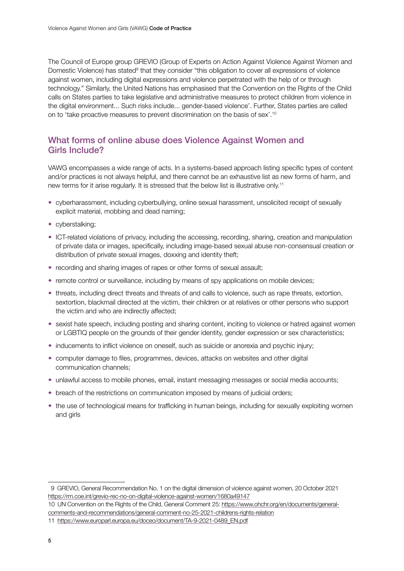The Council of Europe group GREVIO (Group of Experts on Action Against Violence Against Women and Domestic Violence) has stated<sup>9</sup> that they consider "this obligation to cover all expressions of violence against women, including digital expressions and violence perpetrated with the help of or through technology." Similarly, the United Nations has emphasised that the Convention on the Rights of the Child calls on States parties to take legislative and administrative measures to protect children from violence in the digital environment... Such risks include... gender-based violence'. Further, States parties are called on to 'take proactive measures to prevent discrimination on the basis of sex'.10

### What forms of online abuse does Violence Against Women and Girls Include?

VAWG encompasses a wide range of acts. In a systems-based approach listing specific types of content and/or practices is not always helpful, and there cannot be an exhaustive list as new forms of harm, and new terms for it arise regularly. It is stressed that the below list is illustrative only.<sup>11</sup>

- cyberharassment, including cyberbullying, online sexual harassment, unsolicited receipt of sexually explicit material, mobbing and dead naming;
- cyberstalking;
- ICT-related violations of privacy, including the accessing, recording, sharing, creation and manipulation of private data or images, specifically, including image-based sexual abuse non-consensual creation or distribution of private sexual images, doxxing and identity theft;
- recording and sharing images of rapes or other forms of sexual assault;
- remote control or surveillance, including by means of spy applications on mobile devices;
- threats, including direct threats and threats of and calls to violence, such as rape threats, extortion, sextortion, blackmail directed at the victim, their children or at relatives or other persons who support the victim and who are indirectly affected;
- sexist hate speech, including posting and sharing content, inciting to violence or hatred against women or LGBTIQ people on the grounds of their gender identity, gender expression or sex characteristics;
- inducements to inflict violence on oneself, such as suicide or anorexia and psychic injury;
- computer damage to files, programmes, devices, attacks on websites and other digital communication channels;
- unlawful access to mobile phones, email, instant messaging messages or social media accounts;
- breach of the restrictions on communication imposed by means of judicial orders;
- the use of technological means for trafficking in human beings, including for sexually exploiting women and girls

10 UN Convention on the Rights of the Child, General Comment 25: [https://www.ohchr.org/en/documents/general](https://www.ohchr.org/en/documents/general-comments-and-recommendations/general-comment-no-25-2021-childrens-rights-relation)[comments-and-recommendations/general-comment-no-25-2021-childrens-rights-relation](https://www.ohchr.org/en/documents/general-comments-and-recommendations/general-comment-no-25-2021-childrens-rights-relation)

<sup>9</sup> GREVIO, General Recommendation No. 1 on the digital dimension of violence against women, 20 October 2021 <https://rm.coe.int/grevio-rec-no-on-digital-violence-against-women/1680a49147>

<sup>11</sup> [https://www.europarl.europa.eu/doceo/document/TA-9-2021-0489\\_EN.pdf](https://www.europarl.europa.eu/doceo/document/TA-9-2021-0489_EN.pdf)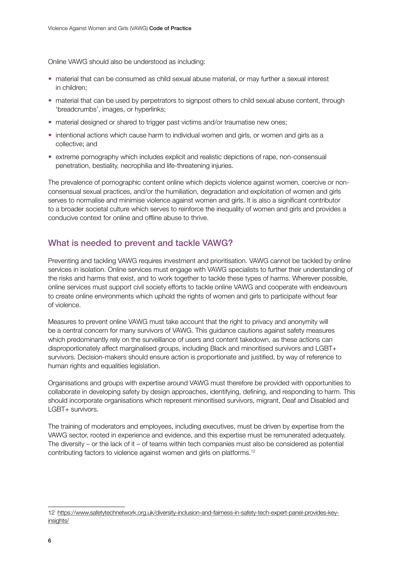Online VAWG should also be understood as including:

- material that can be consumed as child sexual abuse material, or may further a sexual interest in children;
- material that can be used by perpetrators to signpost others to child sexual abuse content, through 'breadcrumbs', images, or hyperlinks;
- material designed or shared to trigger past victims and/or traumatise new ones;
- intentional actions which cause harm to individual women and girls, or women and girls as a collective; and
- extreme pornography which includes explicit and realistic depictions of rape, non-consensual penetration, bestiality, necrophilia and life-threatening injuries.

The prevalence of pornographic content online which depicts violence against women, coercive or nonconsensual sexual practices, and/or the humiliation, degradation and exploitation of women and girls serves to normalise and minimise violence against women and girls. It is also a significant contributor to a broader societal culture which serves to reinforce the inequality of women and girls and provides a conducive context for online and offline abuse to thrive.

### What is needed to prevent and tackle VAWG?

Preventing and tackling VAWG requires investment and prioritisation. VAWG cannot be tackled by online services in isolation. Online services must engage with VAWG specialists to further their understanding of the risks and harms that exist, and to work together to tackle these types of harms. Wherever possible, online services must support civil society efforts to tackle online VAWG and cooperate with endeavours to create online environments which uphold the rights of women and girls to participate without fear of violence.

Measures to prevent online VAWG must take account that the right to privacy and anonymity will be a central concern for many survivors of VAWG. This guidance cautions against safety measures which predominantly rely on the surveillance of users and content takedown, as these actions can disproportionately affect marginalised groups, including Black and minoritised survivors and LGBT+ survivors. Decision-makers should ensure action is proportionate and justified, by way of reference to human rights and equalities legislation.

Organisations and groups with expertise around VAWG must therefore be provided with opportunities to collaborate in developing safety by design approaches, identifying, defining, and responding to harm. This should incorporate organisations which represent minoritised survivors, migrant, Deaf and Disabled and LGBT+ survivors.

The training of moderators and employees, including executives, must be driven by expertise from the VAWG sector, rooted in experience and evidence, and this expertise must be remunerated adequately. The diversity – or the lack of it – of teams within tech companies must also be considered as potential contributing factors to violence against women and girls on platforms.12

<sup>12</sup> [https://www.safetytechnetwork.org.uk/diversity-inclusion-and-fairness-in-safety-tech-expert-panel-provides-key](https://www.safetytechnetwork.org.uk/diversity-inclusion-and-fairness-in-safety-tech-expert-panel-provides-key-insights/)[insights/](https://www.safetytechnetwork.org.uk/diversity-inclusion-and-fairness-in-safety-tech-expert-panel-provides-key-insights/)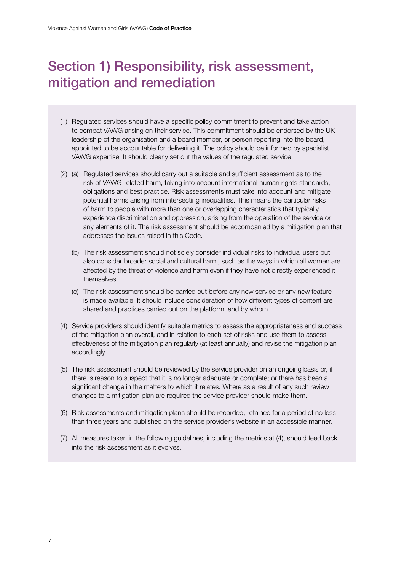# <span id="page-6-0"></span>Section 1) Responsibility, risk assessment, mitigation and remediation

- (1) Regulated services should have a specific policy commitment to prevent and take action to combat VAWG arising on their service. This commitment should be endorsed by the UK leadership of the organisation and a board member, or person reporting into the board, appointed to be accountable for delivering it. The policy should be informed by specialist VAWG expertise. It should clearly set out the values of the regulated service.
- (2) (a) Regulated services should carry out a suitable and sufficient assessment as to the risk of VAWG-related harm, taking into account international human rights standards, obligations and best practice. Risk assessments must take into account and mitigate potential harms arising from intersecting inequalities. This means the particular risks of harm to people with more than one or overlapping characteristics that typically experience discrimination and oppression, arising from the operation of the service or any elements of it. The risk assessment should be accompanied by a mitigation plan that addresses the issues raised in this Code.
	- (b) The risk assessment should not solely consider individual risks to individual users but also consider broader social and cultural harm, such as the ways in which all women are affected by the threat of violence and harm even if they have not directly experienced it themselves.
	- (c) The risk assessment should be carried out before any new service or any new feature is made available. It should include consideration of how different types of content are shared and practices carried out on the platform, and by whom.
- (4) Service providers should identify suitable metrics to assess the appropriateness and success of the mitigation plan overall, and in relation to each set of risks and use them to assess effectiveness of the mitigation plan regularly (at least annually) and revise the mitigation plan accordingly.
- (5) The risk assessment should be reviewed by the service provider on an ongoing basis or, if there is reason to suspect that it is no longer adequate or complete; or there has been a significant change in the matters to which it relates. Where as a result of any such review changes to a mitigation plan are required the service provider should make them.
- (6) Risk assessments and mitigation plans should be recorded, retained for a period of no less than three years and published on the service provider's website in an accessible manner.
- (7) All measures taken in the following guidelines, including the metrics at (4), should feed back into the risk assessment as it evolves.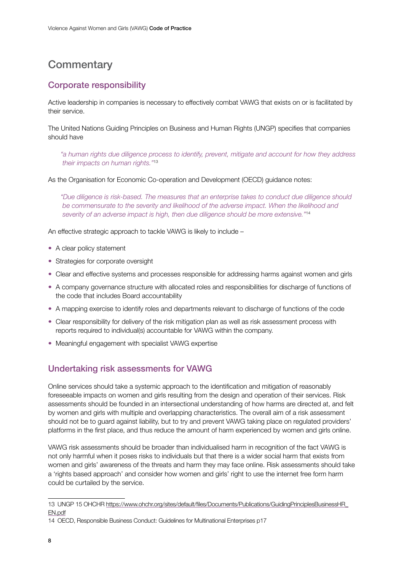### <span id="page-7-0"></span>**Commentary**

### Corporate responsibility

Active leadership in companies is necessary to effectively combat VAWG that exists on or is facilitated by their service.

The United Nations Guiding Principles on Business and Human Rights (UNGP) specifies that companies should have

*"a human rights due diligence process to identify, prevent, mitigate and account for how they address their impacts on human rights."*<sup>13</sup>

As the Organisation for Economic Co-operation and Development (OECD) guidance notes:

*"Due diligence is risk-based. The measures that an enterprise takes to conduct due diligence should be commensurate to the severity and likelihood of the adverse impact. When the likelihood and severity of an adverse impact is high, then due diligence should be more extensive."*<sup>14</sup>

An effective strategic approach to tackle VAWG is likely to include –

- A clear policy statement
- Strategies for corporate oversight
- Clear and effective systems and processes responsible for addressing harms against women and girls
- A company governance structure with allocated roles and responsibilities for discharge of functions of the code that includes Board accountability
- A mapping exercise to identify roles and departments relevant to discharge of functions of the code
- Clear responsibility for delivery of the risk mitigation plan as well as risk assessment process with reports required to individual(s) accountable for VAWG within the company.
- Meaningful engagement with specialist VAWG expertise

### Undertaking risk assessments for VAWG

Online services should take a systemic approach to the identification and mitigation of reasonably foreseeable impacts on women and girls resulting from the design and operation of their services. Risk assessments should be founded in an intersectional understanding of how harms are directed at, and felt by women and girls with multiple and overlapping characteristics. The overall aim of a risk assessment should not be to guard against liability, but to try and prevent VAWG taking place on regulated providers' platforms in the first place, and thus reduce the amount of harm experienced by women and girls online.

VAWG risk assessments should be broader than individualised harm in recognition of the fact VAWG is not only harmful when it poses risks to individuals but that there is a wider social harm that exists from women and girls' awareness of the threats and harm they may face online. Risk assessments should take a 'rights based approach' and consider how women and girls' right to use the internet free form harm could be curtailed by the service.

<sup>13</sup> UNGP 15 OHCHR [https://www.ohchr.org/sites/default/files/Documents/Publications/GuidingPrinciplesBusinessHR\\_](https://www.ohchr.org/sites/default/files/Documents/Publications/GuidingPrinciplesBusinessHR_EN.pdf) [EN.pdf](https://www.ohchr.org/sites/default/files/Documents/Publications/GuidingPrinciplesBusinessHR_EN.pdf)

<sup>14</sup> OECD, Responsible Business Conduct: Guidelines for Multinational Enterprises p17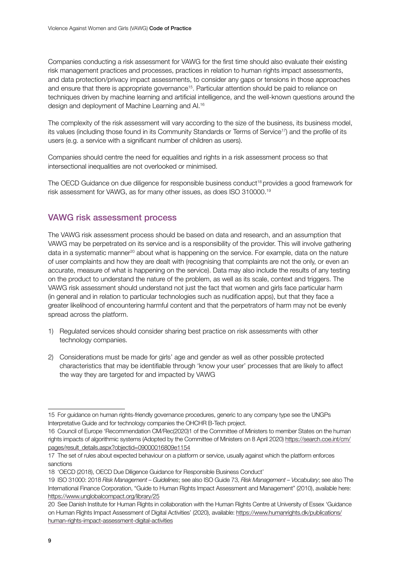Companies conducting a risk assessment for VAWG for the first time should also evaluate their existing risk management practices and processes, practices in relation to human rights impact assessments, and data protection/privacy impact assessments, to consider any gaps or tensions in those approaches and ensure that there is appropriate governance<sup>15</sup>. Particular attention should be paid to reliance on techniques driven by machine learning and artificial intelligence, and the well-known questions around the design and deployment of Machine Learning and AI.16

The complexity of the risk assessment will vary according to the size of the business, its business model, its values (including those found in its Community Standards or Terms of Service<sup>17</sup>) and the profile of its users (e.g. a service with a significant number of children as users).

Companies should centre the need for equalities and rights in a risk assessment process so that intersectional inequalities are not overlooked or minimised.

The OECD Guidance on due diligence for responsible business conduct<sup>18</sup> provides a good framework for risk assessment for VAWG, as for many other issues, as does ISO 310000.19

### VAWG risk assessment process

The VAWG risk assessment process should be based on data and research, and an assumption that VAWG may be perpetrated on its service and is a responsibility of the provider. This will involve gathering data in a systematic manner<sup>20</sup> about what is happening on the service. For example, data on the nature of user complaints and how they are dealt with (recognising that complaints are not the only, or even an accurate, measure of what is happening on the service). Data may also include the results of any testing on the product to understand the nature of the problem, as well as its scale, context and triggers. The VAWG risk assessment should understand not just the fact that women and girls face particular harm (in general and in relation to particular technologies such as nudification apps), but that they face a greater likelihood of encountering harmful content and that the perpetrators of harm may not be evenly spread across the platform.

- 1) Regulated services should consider sharing best practice on risk assessments with other technology companies.
- 2) Considerations must be made for girls' age and gender as well as other possible protected characteristics that may be identifiable through 'know your user' processes that are likely to affect the way they are targeted for and impacted by VAWG

<sup>15</sup> For guidance on human rights-friendly governance procedures, generic to any company type see the UNGPs Interpretative Guide and for technology companies the OHCHR B-Tech project.

<sup>16</sup> Council of Europe 'Recommendation CM/Rec(2020)1 of the Committee of Ministers to member States on the human rights impacts of algorithmic systems (Adopted by the Committee of Ministers on 8 April 2020) [https://search.coe.int/cm/](https://search.coe.int/cm/pages/result_details.aspx?objectid=09000016809e1154) [pages/result\\_details.aspx?objectid=09000016809e1154](https://search.coe.int/cm/pages/result_details.aspx?objectid=09000016809e1154)

<sup>17</sup> The set of rules about expected behaviour on a platform or service, usually against which the platform enforces sanctions

<sup>18</sup> 'OECD (2018), OECD Due Diligence Guidance for Responsible Business Conduct'

<sup>19</sup> ISO 31000: 2018 *Risk Management – Guidelines*; see also ISO Guide 73, *Risk Management – Vocabulary*; see also The International Finance Corporation, "Guide to Human Rights Impact Assessment and Management" (2010), available here: <https://www.unglobalcompact.org/library/25>

<sup>20</sup> See Danish Institute for Human Rights in collaboration with the Human Rights Centre at University of Essex 'Guidance on Human Rights Impact Assessment of Digital Activities' (2020), available[: https://www.humanrights.dk/publications/](https://www.humanrights.dk/publications/human-rights-impact-assessment-digital-activities) [human-rights-impact-assessment-digital-activities](https://www.humanrights.dk/publications/human-rights-impact-assessment-digital-activities)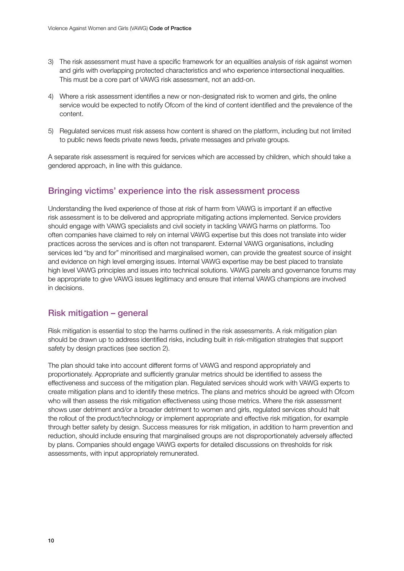- 3) The risk assessment must have a specific framework for an equalities analysis of risk against women and girls with overlapping protected characteristics and who experience intersectional inequalities. This must be a core part of VAWG risk assessment, not an add-on.
- 4) Where a risk assessment identifies a new or non-designated risk to women and girls, the online service would be expected to notify Ofcom of the kind of content identified and the prevalence of the content.
- 5) Regulated services must risk assess how content is shared on the platform, including but not limited to public news feeds private news feeds, private messages and private groups.

A separate risk assessment is required for services which are accessed by children, which should take a gendered approach, in line with this guidance.

#### Bringing victims' experience into the risk assessment process

Understanding the lived experience of those at risk of harm from VAWG is important if an effective risk assessment is to be delivered and appropriate mitigating actions implemented. Service providers should engage with VAWG specialists and civil society in tackling VAWG harms on platforms. Too often companies have claimed to rely on internal VAWG expertise but this does not translate into wider practices across the services and is often not transparent. External VAWG organisations, including services led "by and for" minoritised and marginalised women, can provide the greatest source of insight and evidence on high level emerging issues. Internal VAWG expertise may be best placed to translate high level VAWG principles and issues into technical solutions. VAWG panels and governance forums may be appropriate to give VAWG issues legitimacy and ensure that internal VAWG champions are involved in decisions.

#### Risk mitigation – general

Risk mitigation is essential to stop the harms outlined in the risk assessments. A risk mitigation plan should be drawn up to address identified risks, including built in risk-mitigation strategies that support safety by design practices (see section 2).

The plan should take into account different forms of VAWG and respond appropriately and proportionately. Appropriate and sufficiently granular metrics should be identified to assess the effectiveness and success of the mitigation plan. Regulated services should work with VAWG experts to create mitigation plans and to identify these metrics. The plans and metrics should be agreed with Ofcom who will then assess the risk mitigation effectiveness using those metrics. Where the risk assessment shows user detriment and/or a broader detriment to women and girls, regulated services should halt the rollout of the product/technology or implement appropriate and effective risk mitigation, for example through better safety by design. Success measures for risk mitigation, in addition to harm prevention and reduction, should include ensuring that marginalised groups are not disproportionately adversely affected by plans. Companies should engage VAWG experts for detailed discussions on thresholds for risk assessments, with input appropriately remunerated.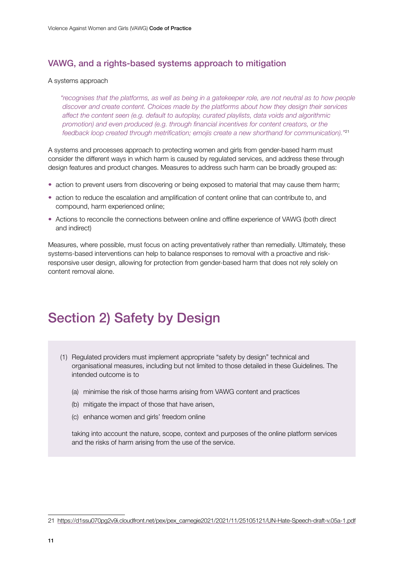#### <span id="page-10-0"></span>VAWG, and a rights-based systems approach to mitigation

#### A systems approach

*"recognises that the platforms, as well as being in a gatekeeper role, are not neutral as to how people discover and create content. Choices made by the platforms about how they design their services affect the content seen (e.g. default to autoplay, curated playlists, data voids and algorithmic promotion) and even produced (e.g. through financial incentives for content creators, or the feedback loop created through metrification; emojis create a new shorthand for communication)."*<sup>21</sup>

A systems and processes approach to protecting women and girls from gender-based harm must consider the different ways in which harm is caused by regulated services, and address these through design features and product changes. Measures to address such harm can be broadly grouped as:

- action to prevent users from discovering or being exposed to material that may cause them harm;
- action to reduce the escalation and amplification of content online that can contribute to, and compound, harm experienced online;
- Actions to reconcile the connections between online and offline experience of VAWG (both direct and indirect)

Measures, where possible, must focus on acting preventatively rather than remedially. Ultimately, these systems-based interventions can help to balance responses to removal with a proactive and riskresponsive user design, allowing for protection from gender-based harm that does not rely solely on content removal alone.

# Section 2) Safety by Design

- (1) Regulated providers must implement appropriate "safety by design" technical and organisational measures, including but not limited to those detailed in these Guidelines. The intended outcome is to
	- (a) minimise the risk of those harms arising from VAWG content and practices
	- (b) mitigate the impact of those that have arisen,
	- (c) enhance women and girls' freedom online

taking into account the nature, scope, context and purposes of the online platform services and the risks of harm arising from the use of the service.

<sup>21</sup> [https://d1ssu070pg2v9i.cloudfront.net/pex/pex\\_carnegie2021/2021/11/25105121/UN-Hate-Speech-draft-v.05a-1.pdf](https://d1ssu070pg2v9i.cloudfront.net/pex/pex_carnegie2021/2021/11/25105121/UN-Hate-Speech-draft-v.05a-1.pdf)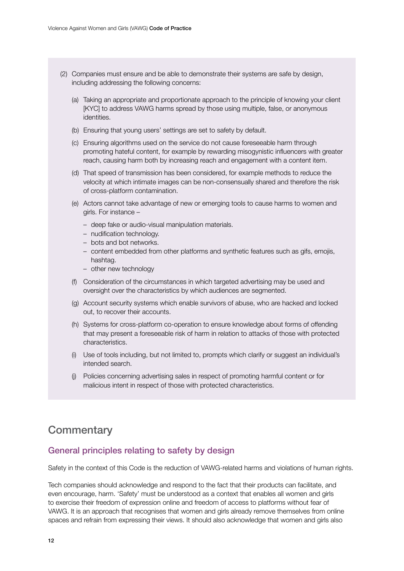- <span id="page-11-0"></span>(2) Companies must ensure and be able to demonstrate their systems are safe by design, including addressing the following concerns:
	- (a) Taking an appropriate and proportionate approach to the principle of knowing your client [KYC] to address VAWG harms spread by those using multiple, false, or anonymous identities.
	- (b) Ensuring that young users' settings are set to safety by default.
	- (c) Ensuring algorithms used on the service do not cause foreseeable harm through promoting hateful content, for example by rewarding misogynistic influencers with greater reach, causing harm both by increasing reach and engagement with a content item.
	- (d) That speed of transmission has been considered, for example methods to reduce the velocity at which intimate images can be non-consensually shared and therefore the risk of cross-platform contamination.
	- (e) Actors cannot take advantage of new or emerging tools to cause harms to women and girls. For instance –
		- deep fake or audio-visual manipulation materials.
		- nudification technology.
		- bots and bot networks.
		- content embedded from other platforms and synthetic features such as gifs, emojis, hashtag.
		- other new technology
	- (f) Consideration of the circumstances in which targeted advertising may be used and oversight over the characteristics by which audiences are segmented.
	- (g) Account security systems which enable survivors of abuse, who are hacked and locked out, to recover their accounts.
	- (h) Systems for cross-platform co-operation to ensure knowledge about forms of offending that may present a foreseeable risk of harm in relation to attacks of those with protected characteristics.
	- (i) Use of tools including, but not limited to, prompts which clarify or suggest an individual's intended search.
	- (j) Policies concerning advertising sales in respect of promoting harmful content or for malicious intent in respect of those with protected characteristics.

### **Commentary**

### General principles relating to safety by design

Safety in the context of this Code is the reduction of VAWG-related harms and violations of human rights.

Tech companies should acknowledge and respond to the fact that their products can facilitate, and even encourage, harm. 'Safety' must be understood as a context that enables all women and girls to exercise their freedom of expression online and freedom of access to platforms without fear of VAWG. It is an approach that recognises that women and girls already remove themselves from online spaces and refrain from expressing their views. It should also acknowledge that women and girls also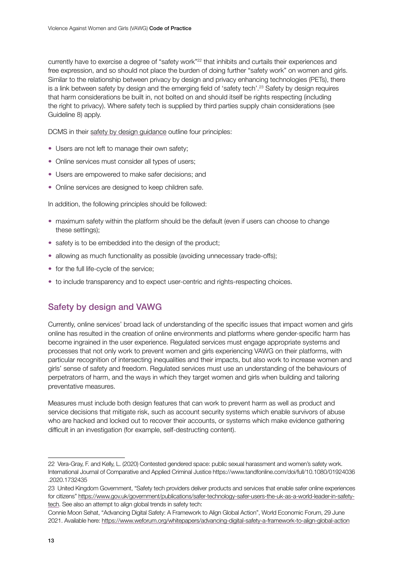currently have to exercise a degree of "safety work"<sup>22</sup> that inhibits and curtails their experiences and free expression, and so should not place the burden of doing further "safety work" on women and girls. Similar to the relationship between privacy by design and privacy enhancing technologies (PETs), there is a link between safety by design and the emerging field of 'safety tech'.23 Safety by design requires that harm considerations be built in, not bolted on and should itself be rights respecting (including the right to privacy). Where safety tech is supplied by third parties supply chain considerations (see Guideline 8) apply.

DCMS in their [safety by design guidance](https://www.gov.uk/guidance/principles-of-safer-online-platform-design%23safety-by-design-principles) outline four principles:

- Users are not left to manage their own safety;
- Online services must consider all types of users:
- Users are empowered to make safer decisions; and
- Online services are designed to keep children safe.

In addition, the following principles should be followed:

- maximum safety within the platform should be the default (even if users can choose to change these settings);
- safety is to be embedded into the design of the product:
- allowing as much functionality as possible (avoiding unnecessary trade-offs);
- for the full life-cycle of the service;
- to include transparency and to expect user-centric and rights-respecting choices.

### Safety by design and VAWG

Currently, online services' broad lack of understanding of the specific issues that impact women and girls online has resulted in the creation of online environments and platforms where gender-specific harm has become ingrained in the user experience. Regulated services must engage appropriate systems and processes that not only work to prevent women and girls experiencing VAWG on their platforms, with particular recognition of intersecting inequalities and their impacts, but also work to increase women and girls' sense of safety and freedom. Regulated services must use an understanding of the behaviours of perpetrators of harm, and the ways in which they target women and girls when building and tailoring preventative measures.

Measures must include both design features that can work to prevent harm as well as product and service decisions that mitigate risk, such as account security systems which enable survivors of abuse who are hacked and locked out to recover their accounts, or systems which make evidence gathering difficult in an investigation (for example, self-destructing content).

<sup>22</sup> Vera-Gray, F. and Kelly, L. (2020) Contested gendered space: public sexual harassment and women's safety work. International Journal of Comparative and Applied Criminal Justice [https://www.tandfonline.com/doi/full/10.1080/01924036](https://www.tandfonline.com/doi/full/10.1080/01924036.2020.1732435) [.2020.1732435](https://www.tandfonline.com/doi/full/10.1080/01924036.2020.1732435)

<sup>23</sup> United Kingdom Government, "Safety tech providers deliver products and services that enable safer online experiences for citizens[" https://www.gov.uk/government/publications/safer-technology-safer-users-the-uk-as-a-world-leader-in-safety](https://www.gov.uk/government/publications/safer-technology-safer-users-the-uk-as-a-world-leader-in-safety-tech)[tech.](https://www.gov.uk/government/publications/safer-technology-safer-users-the-uk-as-a-world-leader-in-safety-tech) See also an attempt to align global trends in safety tech:

Connie Moon Sehat, "Advancing Digital Safety: A Framework to Align Global Action", World Economic Forum, 29 June 2021. Available here:<https://www.weforum.org/whitepapers/advancing-digital-safety-a-framework-to-align-global-action>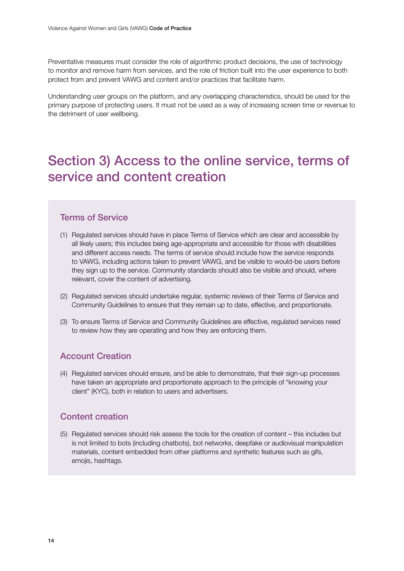<span id="page-13-0"></span>Preventative measures must consider the role of algorithmic product decisions, the use of technology to monitor and remove harm from services, and the role of friction built into the user experience to both protect from and prevent VAWG and content and/or practices that facilitate harm.

Understanding user groups on the platform, and any overlapping characteristics, should be used for the primary purpose of protecting users. It must not be used as a way of increasing screen time or revenue to the detriment of user wellbeing.

# Section 3) Access to the online service, terms of service and content creation

#### Terms of Service

- (1) Regulated services should have in place Terms of Service which are clear and accessible by all likely users; this includes being age-appropriate and accessible for those with disabilities and different access needs. The terms of service should include how the service responds to VAWG, including actions taken to prevent VAWG, and be visible to would-be users before they sign up to the service. Community standards should also be visible and should, where relevant, cover the content of advertising.
- (2) Regulated services should undertake regular, systemic reviews of their Terms of Service and Community Guidelines to ensure that they remain up to date, effective, and proportionate.
- (3) To ensure Terms of Service and Community Guidelines are effective, regulated services need to review how they are operating and how they are enforcing them.

### Account Creation

(4) Regulated services should ensure, and be able to demonstrate, that their sign-up processes have taken an appropriate and proportionate approach to the principle of "knowing your client" (KYC), both in relation to users and advertisers.

#### Content creation

(5) Regulated services should risk assess the tools for the creation of content – this includes but is not limited to bots (including chatbots), bot networks, deepfake or audiovisual manipulation materials, content embedded from other platforms and synthetic features such as gifs, emojis, hashtags.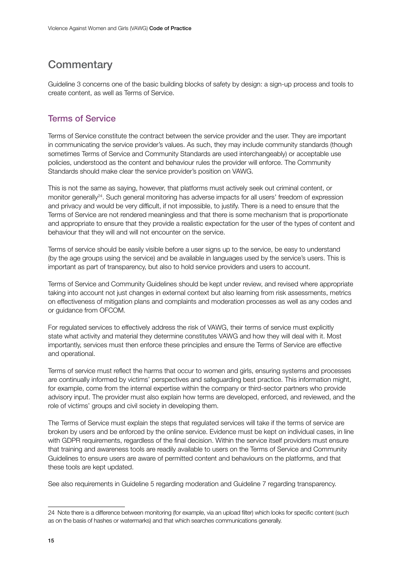### <span id="page-14-0"></span>**Commentary**

Guideline 3 concerns one of the basic building blocks of safety by design: a sign-up process and tools to create content, as well as Terms of Service.

### Terms of Service

Terms of Service constitute the contract between the service provider and the user. They are important in communicating the service provider's values. As such, they may include community standards (though sometimes Terms of Service and Community Standards are used interchangeably) or acceptable use policies, understood as the content and behaviour rules the provider will enforce. The Community Standards should make clear the service provider's position on VAWG.

This is not the same as saying, however, that platforms must actively seek out criminal content, or monitor generally<sup>24</sup>. Such general monitoring has adverse impacts for all users' freedom of expression and privacy and would be very difficult, if not impossible, to justify. There is a need to ensure that the Terms of Service are not rendered meaningless and that there is some mechanism that is proportionate and appropriate to ensure that they provide a realistic expectation for the user of the types of content and behaviour that they will and will not encounter on the service.

Terms of service should be easily visible before a user signs up to the service, be easy to understand (by the age groups using the service) and be available in languages used by the service's users. This is important as part of transparency, but also to hold service providers and users to account.

Terms of Service and Community Guidelines should be kept under review, and revised where appropriate taking into account not just changes in external context but also learning from risk assessments, metrics on effectiveness of mitigation plans and complaints and moderation processes as well as any codes and or guidance from OFCOM.

For regulated services to effectively address the risk of VAWG, their terms of service must explicitly state what activity and material they determine constitutes VAWG and how they will deal with it. Most importantly, services must then enforce these principles and ensure the Terms of Service are effective and operational.

Terms of service must reflect the harms that occur to women and girls, ensuring systems and processes are continually informed by victims' perspectives and safeguarding best practice. This information might, for example, come from the internal expertise within the company or third-sector partners who provide advisory input. The provider must also explain how terms are developed, enforced, and reviewed, and the role of victims' groups and civil society in developing them.

The Terms of Service must explain the steps that regulated services will take if the terms of service are broken by users and be enforced by the online service. Evidence must be kept on individual cases, in line with GDPR requirements, regardless of the final decision. Within the service itself providers must ensure that training and awareness tools are readily available to users on the Terms of Service and Community Guidelines to ensure users are aware of permitted content and behaviours on the platforms, and that these tools are kept updated.

See also requirements in Guideline 5 regarding moderation and Guideline 7 regarding transparency.

<sup>24</sup> Note there is a difference between monitoring (for example, via an upload filter) which looks for specific content (such as on the basis of hashes or watermarks) and that which searches communications generally.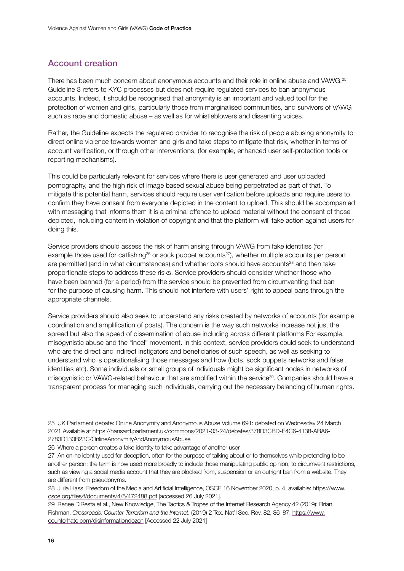### Account creation

There has been much concern about anonymous accounts and their role in online abuse and VAWG.<sup>25</sup> Guideline 3 refers to KYC processes but does not require regulated services to ban anonymous accounts. Indeed, it should be recognised that anonymity is an important and valued tool for the protection of women and girls, particularly those from marginalised communities, and survivors of VAWG such as rape and domestic abuse – as well as for whistleblowers and dissenting voices.

Rather, the Guideline expects the regulated provider to recognise the risk of people abusing anonymity to direct online violence towards women and girls and take steps to mitigate that risk, whether in terms of account verification, or through other interventions, (for example, enhanced user self-protection tools or reporting mechanisms).

This could be particularly relevant for services where there is user generated and user uploaded pornography, and the high risk of image based sexual abuse being perpetrated as part of that. To mitigate this potential harm, services should require user verification before uploads and require users to confirm they have consent from everyone depicted in the content to upload. This should be accompanied with messaging that informs them it is a criminal offence to upload material without the consent of those depicted, including content in violation of copyright and that the platform will take action against users for doing this.

Service providers should assess the risk of harm arising through VAWG from fake identities (for example those used for catfishing<sup>26</sup> or sock puppet accounts<sup>27</sup>), whether multiple accounts per person are permitted (and in what circumstances) and whether bots should have accounts<sup>28</sup> and then take proportionate steps to address these risks. Service providers should consider whether those who have been banned (for a period) from the service should be prevented from circumventing that ban for the purpose of causing harm. This should not interfere with users' right to appeal bans through the appropriate channels.

Service providers should also seek to understand any risks created by networks of accounts (for example coordination and amplification of posts). The concern is the way such networks increase not just the spread but also the speed of dissemination of abuse including across different platforms For example, misogynistic abuse and the "incel" movement. In this context, service providers could seek to understand who are the direct and indirect instigators and beneficiaries of such speech, as well as seeking to understand who is operationalising those messages and how (bots, sock puppets networks and false identities etc). Some individuals or small groups of individuals might be significant nodes in networks of misogynistic or VAWG-related behaviour that are amplified within the service<sup>29</sup>. Companies should have a transparent process for managing such individuals, carrying out the necessary balancing of human rights.

<sup>25</sup> UK Parliament debate: Online Anonymity and Anonymous Abuse Volume 691: debated on Wednesday 24 March 2021 Available a[t https://hansard.parliament.uk/commons/2021-03-24/debates/378D3CBD-E4C6-4138-ABA6-](https://hansard.parliament.uk/commons/2021-03-24/debates/378D3CBD-E4C6-4138-ABA6-2783D130B23C/OnlineAnonymityAndAnonymousAbuse) [2783D130B23C/OnlineAnonymityAndAnonymousAbuse](https://hansard.parliament.uk/commons/2021-03-24/debates/378D3CBD-E4C6-4138-ABA6-2783D130B23C/OnlineAnonymityAndAnonymousAbuse)

<sup>26</sup> Where a person creates a fake identity to take advantage of another user

<sup>27</sup> An online identity used for deception, often for the purpose of talking about or to themselves while pretending to be another person; the term is now used more broadly to include those manipulating public opinion, to circumvent restrictions, such as viewing a social media account that they are blocked from, suspension or an outright ban from a website. They are different from pseudonyms.

<sup>28</sup> Julia Hass, Freedom of the Media and Artificial Intelligence, OSCE 16 November 2020, p. 4, available:[https://www.](https://www.osce.org/files/f/documents/4/5/472488.pdf) [osce.org/files/f/documents/4/5/472488.pdf](https://www.osce.org/files/f/documents/4/5/472488.pdf) [accessed 26 July 2021].

<sup>29</sup> Renee DiResta et al., New Knowledge, The Tactics & Tropes of the Internet Research Agency 42 (2019); Brian Fishman, *Crossroads: Counter-Terrorism and the Internet*, (2019) 2 Tex. Nat'l Sec. Rev. 82, 86–87. [https://www.](https://www.counterhate.com/disinformationdozen) [counterhate.com/disinformationdozen](https://www.counterhate.com/disinformationdozen) [Accessed 22 July 2021]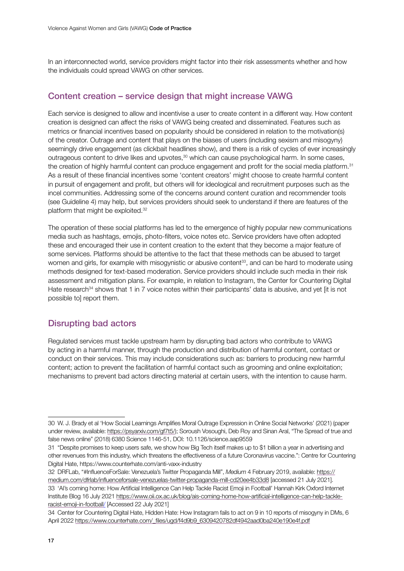In an interconnected world, service providers might factor into their risk assessments whether and how the individuals could spread VAWG on other services.

#### Content creation – service design that might increase VAWG

Each service is designed to allow and incentivise a user to create content in a different way. How content creation is designed can affect the risks of VAWG being created and disseminated. Features such as metrics or financial incentives based on popularity should be considered in relation to the motivation(s) of the creator. Outrage and content that plays on the biases of users (including sexism and misogyny) seemingly drive engagement (as clickbait headlines show), and there is a risk of cycles of ever increasingly outrageous content to drive likes and upvotes,<sup>30</sup> which can cause psychological harm. In some cases, the creation of highly harmful content can produce engagement and profit for the social media platform.<sup>31</sup> As a result of these financial incentives some 'content creators' might choose to create harmful content in pursuit of engagement and profit, but others will for ideological and recruitment purposes such as the incel communities. Addressing some of the concerns around content curation and recommender tools (see Guideline 4) may help, but services providers should seek to understand if there are features of the platform that might be exploited.32

The operation of these social platforms has led to the emergence of highly popular new communications media such as hashtags, emojis, photo-filters, voice notes etc. Service providers have often adopted these and encouraged their use in content creation to the extent that they become a major feature of some services. Platforms should be attentive to the fact that these methods can be abused to target women and girls, for example with misogynistic or abusive content<sup>33</sup>, and can be hard to moderate using methods designed for text-based moderation. Service providers should include such media in their risk assessment and mitigation plans. For example, in relation to Instagram, the Center for Countering Digital Hate research<sup>34</sup> shows that 1 in 7 voice notes within their participants' data is abusive, and yet [it is not possible to] report them.

### Disrupting bad actors

Regulated services must tackle upstream harm by disrupting bad actors who contribute to VAWG by acting in a harmful manner, through the production and distribution of harmful content, contact or conduct on their services. This may include considerations such as: barriers to producing new harmful content; action to prevent the facilitation of harmful contact such as grooming and online exploitation; mechanisms to prevent bad actors directing material at certain users, with the intention to cause harm.

32 DRFLab, "#InfluenceForSale: Venezuela's Twitter Propaganda Mill", *Medium* 4 February 2019, available: [https://](https://medium.com/dfrlab/influenceforsale-venezuelas-twitter-propaganda-mill-cd20ee4b33d8) [medium.com/dfrlab/influenceforsale-venezuelas-twitter-propaganda-mill-cd20ee4b33d8](https://medium.com/dfrlab/influenceforsale-venezuelas-twitter-propaganda-mill-cd20ee4b33d8) [accessed 21 July 2021].

<sup>30</sup> W. J. Brady et al 'How Social Learnings Amplifies Moral Outrage Expression in Online Social Networks' (2021) (paper under review, available[: https://psyarxiv.com/gf7t5/\)](https://psyarxiv.com/gf7t5/); Soroush Vosoughi, Deb Roy and Sinan Aral, "The Spread of true and false news online" (2018) 6380 Science 1146-51, DOI: 10.1126/science.aap9559

<sup>31</sup> "Despite promises to keep users safe, we show how Big Tech itself makes up to \$1 billion a year in advertising and other revenues from this industry, which threatens the effectiveness of a future Coronavirus vaccine.": Centre for Countering Digital Hate, https://www.counterhate.com/anti-vaxx-industry

<sup>33</sup> 'AI's coming home: How Artificial Intelligence Can Help Tackle Racist Emoji in Football' Hannah Kirk Oxford Internet Institute Blog 16 July 2021 [https://www.oii.ox.ac.uk/blog/ais-coming-home-how-artificial-intelligence-can-help-tackle](https://www.oii.ox.ac.uk/blog/ais-coming-home-how-artificial-intelligence-can-help-tackle-racist-emoji-in-football/)[racist-emoji-in-football/](https://www.oii.ox.ac.uk/blog/ais-coming-home-how-artificial-intelligence-can-help-tackle-racist-emoji-in-football/) [Accessed 22 July 2021]

<sup>34</sup> Center for Countering Digital Hate, Hidden Hate: How Instagram fails to act on 9 in 10 reports of misogyny in DMs, 6 April 2022 [https://www.counterhate.com/\\_files/ugd/f4d9b9\\_6309420782df4942aad0ba240e190e4f.pdf](https://www.counterhate.com/_files/ugd/f4d9b9_6309420782df4942aad0ba240e190e4f.pdf)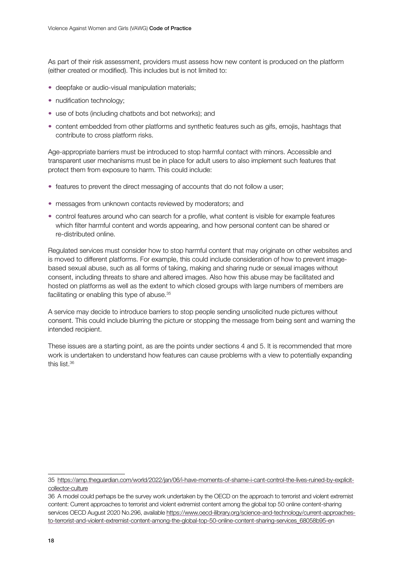As part of their risk assessment, providers must assess how new content is produced on the platform (either created or modified). This includes but is not limited to:

- deepfake or audio-visual manipulation materials;
- nudification technology;
- use of bots (including chatbots and bot networks); and
- content embedded from other platforms and synthetic features such as gifs, emojis, hashtags that contribute to cross platform risks.

Age-appropriate barriers must be introduced to stop harmful contact with minors. Accessible and transparent user mechanisms must be in place for adult users to also implement such features that protect them from exposure to harm. This could include:

- features to prevent the direct messaging of accounts that do not follow a user;
- messages from unknown contacts reviewed by moderators; and
- control features around who can search for a profile, what content is visible for example features which filter harmful content and words appearing, and how personal content can be shared or re-distributed online.

Regulated services must consider how to stop harmful content that may originate on other websites and is moved to different platforms. For example, this could include consideration of how to prevent imagebased sexual abuse, such as all forms of taking, making and sharing nude or sexual images without consent, including threats to share and altered images. Also how this abuse may be facilitated and hosted on platforms as well as the extent to which closed groups with large numbers of members are facilitating or enabling this type of abuse.35

A service may decide to introduce barriers to stop people sending unsolicited nude pictures without consent. This could include blurring the picture or stopping the message from being sent and warning the intended recipient.

These issues are a starting point, as are the points under sections 4 and 5. It is recommended that more work is undertaken to understand how features can cause problems with a view to potentially expanding this list.36

<sup>35</sup> [https://amp.theguardian.com/world/2022/jan/06/i-have-moments-of-shame-i-cant-control-the-lives-ruined-by-explicit](https://amp.theguardian.com/world/2022/jan/06/i-have-moments-of-shame-i-cant-control-the-lives-ruined-by-explicit-collector-culture)[collector-culture](https://amp.theguardian.com/world/2022/jan/06/i-have-moments-of-shame-i-cant-control-the-lives-ruined-by-explicit-collector-culture)

<sup>36</sup> A model could perhaps be the survey work undertaken by the OECD on the approach to terrorist and violent extremist content: Current approaches to terrorist and violent extremist content among the global top 50 online content-sharing services OECD August 2020 No.296, available [https://www.oecd-ilibrary.org/science-and-technology/current-approaches](https://www.oecd-ilibrary.org/science-and-technology/current-approaches-to-terrorist-and-violent-extremist-content-among-the-global-top-50-online-content-sharing-services_68058b95-e)[to-terrorist-and-violent-extremist-content-among-the-global-top-50-online-content-sharing-services\\_68058b95-e](https://www.oecd-ilibrary.org/science-and-technology/current-approaches-to-terrorist-and-violent-extremist-content-among-the-global-top-50-online-content-sharing-services_68058b95-e)n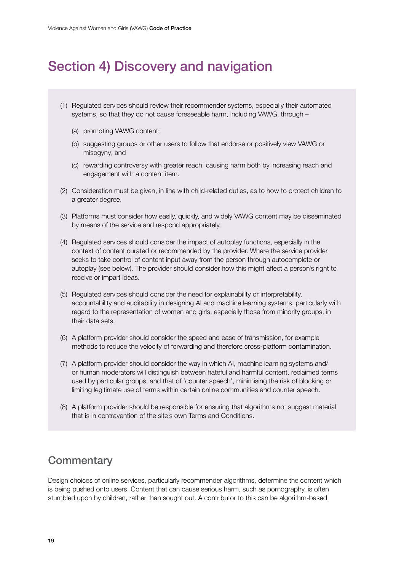# <span id="page-18-0"></span>Section 4) Discovery and navigation

- (1) Regulated services should review their recommender systems, especially their automated systems, so that they do not cause foreseeable harm, including VAWG, through –
	- (a) promoting VAWG content;
	- (b) suggesting groups or other users to follow that endorse or positively view VAWG or misogyny; and
	- (c) rewarding controversy with greater reach, causing harm both by increasing reach and engagement with a content item.
- (2) Consideration must be given, in line with child-related duties, as to how to protect children to a greater degree.
- (3) Platforms must consider how easily, quickly, and widely VAWG content may be disseminated by means of the service and respond appropriately.
- (4) Regulated services should consider the impact of autoplay functions, especially in the context of content curated or recommended by the provider. Where the service provider seeks to take control of content input away from the person through autocomplete or autoplay (see below). The provider should consider how this might affect a person's right to receive or impart ideas.
- (5) Regulated services should consider the need for explainability or interpretability, accountability and auditability in designing AI and machine learning systems, particularly with regard to the representation of women and girls, especially those from minority groups, in their data sets.
- (6) A platform provider should consider the speed and ease of transmission, for example methods to reduce the velocity of forwarding and therefore cross-platform contamination.
- (7) A platform provider should consider the way in which AI, machine learning systems and/ or human moderators will distinguish between hateful and harmful content, reclaimed terms used by particular groups, and that of 'counter speech', minimising the risk of blocking or limiting legitimate use of terms within certain online communities and counter speech.
- (8) A platform provider should be responsible for ensuring that algorithms not suggest material that is in contravention of the site's own Terms and Conditions.

### **Commentary**

Design choices of online services, particularly recommender algorithms, determine the content which is being pushed onto users. Content that can cause serious harm, such as pornography, is often stumbled upon by children, rather than sought out. A contributor to this can be algorithm-based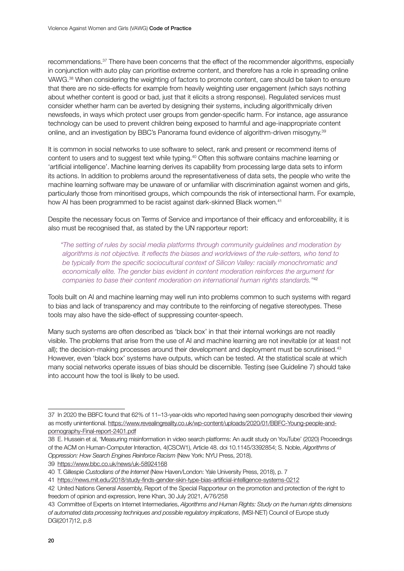recommendations.37 There have been concerns that the effect of the recommender algorithms, especially in conjunction with auto play can prioritise extreme content, and therefore has a role in spreading online VAWG.38 When considering the weighting of factors to promote content, care should be taken to ensure that there are no side-effects for example from heavily weighting user engagement (which says nothing about whether content is good or bad, just that it elicits a strong response). Regulated services must consider whether harm can be averted by designing their systems, including algorithmically driven newsfeeds, in ways which protect user groups from gender-specific harm. For instance, age assurance technology can be used to prevent children being exposed to harmful and age-inappropriate content online, and an investigation by BBC's Panorama found evidence of algorithm-driven misogyny.39

It is common in social networks to use software to select, rank and present or recommend items of content to users and to suggest text while typing.40 Often this software contains machine learning or 'artificial intelligence'. Machine learning derives its capability from processing large data sets to inform its actions. In addition to problems around the representativeness of data sets, the people who write the machine learning software may be unaware of or unfamiliar with discrimination against women and girls, particularly those from minoritised groups, which compounds the risk of intersectional harm. For example, how AI has been programmed to be racist against dark-skinned Black women.<sup>41</sup>

Despite the necessary focus on Terms of Service and importance of their efficacy and enforceability, it is also must be recognised that, as stated by the UN rapporteur report:

*"The setting of rules by social media platforms through community guidelines and moderation by algorithms is not objective. It reflects the biases and worldviews of the rule-setters, who tend to be typically from the specific sociocultural context of Silicon Valley: racially monochromatic and economically elite. The gender bias evident in content moderation reinforces the argument for companies to base their content moderation on international human rights standards."*<sup>42</sup>

Tools built on AI and machine learning may well run into problems common to such systems with regard to bias and lack of transparency and may contribute to the reinforcing of negative stereotypes. These tools may also have the side-effect of suppressing counter-speech.

Many such systems are often described as 'black box' in that their internal workings are not readily visible. The problems that arise from the use of AI and machine learning are not inevitable (or at least not all); the decision-making processes around their development and deployment must be scrutinised.<sup>43</sup> However, even 'black box' systems have outputs, which can be tested. At the statistical scale at which many social networks operate issues of bias should be discernible. Testing (see Guideline 7) should take into account how the tool is likely to be used.

39 <https://www.bbc.co.uk/news/uk-58924168>

<sup>37</sup> In 2020 the BBFC found that 62% of 11–13-year-olds who reported having seen pornography described their viewing as mostly unintentional[. https://www.revealingreality.co.uk/wp-content/uploads/2020/01/BBFC-Young-people-and](https://www.revealingreality.co.uk/wp-content/uploads/2020/01/BBFC-Young-people-and-pornography-Final-report-2401.pdf)[pornography-Final-report-2401.pdf](https://www.revealingreality.co.uk/wp-content/uploads/2020/01/BBFC-Young-people-and-pornography-Final-report-2401.pdf)

<sup>38</sup> E. Hussein et al, 'Measuring misinformation in video search platforms: An audit study on YouTube' (2020) Proceedings of the ACM on Human-Computer Interaction, 4(CSCW1), Article 48. doi 10.1145/3392854; S. Noble, *Algorithms of Oppression: How Search Engines Reinforce Racism* (New York: NYU Press, 2018).

<sup>40</sup> T. Gillespie *Custodians of the Internet* (New Haven/London: Yale University Press, 2018), p. 7

<sup>41</sup> <https://news.mit.edu/2018/study-finds-gender-skin-type-bias-artificial-intelligence-systems-0212>

<sup>42</sup> United Nations General Assembly, Report of the Special Rapporteur on the promotion and protection of the right to freedom of opinion and expression, Irene Khan, 30 July 2021, A/76/258

<sup>43</sup> Committee of Experts on Internet Intermediaries, *Algorithms and Human Rights: Study on the human rights dimensions of automated data processing techniques and possible regulatory implications*, (MSI-NET) Council of Europe study DGI(2017)12, p.8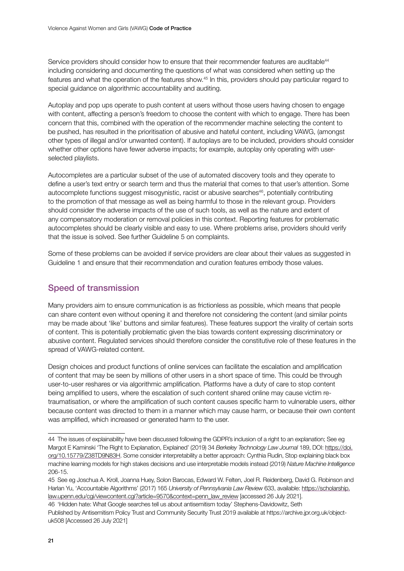Service providers should consider how to ensure that their recommender features are auditable<sup>44</sup> including considering and documenting the questions of what was considered when setting up the features and what the operation of the features show.45 In this, providers should pay particular regard to special guidance on algorithmic accountability and auditing.

Autoplay and pop ups operate to push content at users without those users having chosen to engage with content, affecting a person's freedom to choose the content with which to engage. There has been concern that this, combined with the operation of the recommender machine selecting the content to be pushed, has resulted in the prioritisation of abusive and hateful content, including VAWG, (amongst other types of illegal and/or unwanted content). If autoplays are to be included, providers should consider whether other options have fewer adverse impacts; for example, autoplay only operating with userselected playlists.

Autocompletes are a particular subset of the use of automated discovery tools and they operate to define a user's text entry or search term and thus the material that comes to that user's attention. Some autocomplete functions suggest misogynistic, racist or abusive searches<sup>46</sup>, potentially contributing to the promotion of that message as well as being harmful to those in the relevant group. Providers should consider the adverse impacts of the use of such tools, as well as the nature and extent of any compensatory moderation or removal policies in this context. Reporting features for problematic autocompletes should be clearly visible and easy to use. Where problems arise, providers should verify that the issue is solved. See further Guideline 5 on complaints.

Some of these problems can be avoided if service providers are clear about their values as suggested in Guideline 1 and ensure that their recommendation and curation features embody those values.

### Speed of transmission

Many providers aim to ensure communication is as frictionless as possible, which means that people can share content even without opening it and therefore not considering the content (and similar points may be made about 'like' buttons and similar features). These features support the virality of certain sorts of content. This is potentially problematic given the bias towards content expressing discriminatory or abusive content. Regulated services should therefore consider the constitutive role of these features in the spread of VAWG-related content.

Design choices and product functions of online services can facilitate the escalation and amplification of content that may be seen by millions of other users in a short space of time. This could be through user-to-user reshares or via algorithmic amplification. Platforms have a duty of care to stop content being amplified to users, where the escalation of such content shared online may cause victim retraumatisation, or where the amplification of such content causes specific harm to vulnerable users, either because content was directed to them in a manner which may cause harm, or because their own content was amplified, which increased or generated harm to the user.

46 'Hidden hate: What Google searches tell us about antisemitism today' Stephens-Davidowitz, Seth Published by Antisemitism Policy Trust and Community Security Trust 2019 available at https://archive.jpr.org.uk/objectuk508 [Accessed 26 July 2021]

<sup>44</sup> The issues of explainability have been discussed following the GDPR's inclusion of a right to an explanation; See eg Margot E Kaminski 'The Right to Explanation, Explained' (2019) 34 *Berkeley Technology Law Journal* 189, DOI: [https://doi.](https://doi.org/10.15779/Z38TD9N83H) [org/10.15779/Z38TD9N83H](https://doi.org/10.15779/Z38TD9N83H). Some consider interpretability a better approach: Cynthia Rudin, Stop explaining black box machine learning models for high stakes decisions and use interpretable models instead (2019) *Nature Machine Intelligence* 206-15.

<sup>45</sup> See eg Joschua A. Kroll, Joanna Huey, Solon Barocas, Edward W. Felten, Joel R. Reidenberg, David G. Robinson and Harlan Yu, 'Accountable Algorithms' (2017) 165 *University of Pennsylvania Law Review* 633, available: [https://scholarship.](https://scholarship.law.upenn.edu/cgi/viewcontent.cgi?article=9570&context=penn_law_review) [law.upenn.edu/cgi/viewcontent.cgi?article=9570&context=penn\\_law\\_review](https://scholarship.law.upenn.edu/cgi/viewcontent.cgi?article=9570&context=penn_law_review) [accessed 26 July 2021].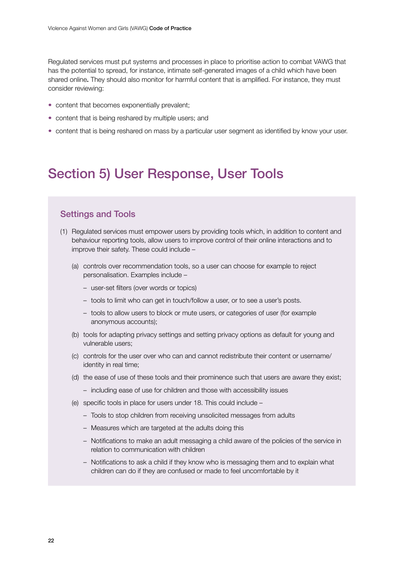<span id="page-21-0"></span>Regulated services must put systems and processes in place to prioritise action to combat VAWG that has the potential to spread, for instance, intimate self-generated images of a child which have been shared online. They should also monitor for harmful content that is amplified. For instance, they must consider reviewing:

- content that becomes exponentially prevalent;
- content that is being reshared by multiple users; and
- content that is being reshared on mass by a particular user segment as identified by know your user.

# Section 5) User Response, User Tools

#### Settings and Tools

- (1) Regulated services must empower users by providing tools which, in addition to content and behaviour reporting tools, allow users to improve control of their online interactions and to improve their safety. These could include –
	- (a) controls over recommendation tools, so a user can choose for example to reject personalisation. Examples include –
		- user-set filters (over words or topics)
		- tools to limit who can get in touch/follow a user, or to see a user's posts.
		- tools to allow users to block or mute users, or categories of user (for example anonymous accounts);
	- (b) tools for adapting privacy settings and setting privacy options as default for young and vulnerable users;
	- (c) controls for the user over who can and cannot redistribute their content or username/ identity in real time;
	- (d) the ease of use of these tools and their prominence such that users are aware they exist;
		- including ease of use for children and those with accessibility issues
	- (e) specific tools in place for users under 18. This could include
		- Tools to stop children from receiving unsolicited messages from adults
		- Measures which are targeted at the adults doing this
		- Notifications to make an adult messaging a child aware of the policies of the service in relation to communication with children
		- Notifications to ask a child if they know who is messaging them and to explain what children can do if they are confused or made to feel uncomfortable by it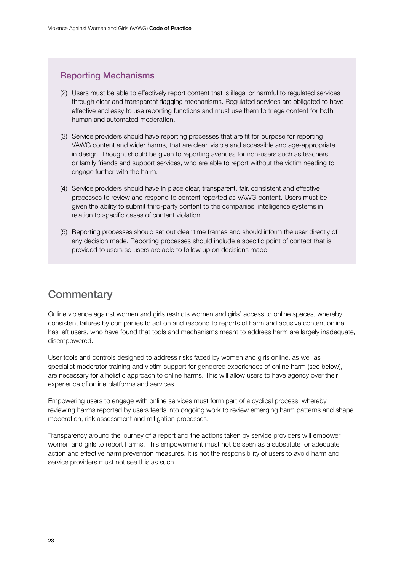### <span id="page-22-0"></span>Reporting Mechanisms

- (2) Users must be able to effectively report content that is illegal or harmful to regulated services through clear and transparent flagging mechanisms. Regulated services are obligated to have effective and easy to use reporting functions and must use them to triage content for both human and automated moderation.
- (3) Service providers should have reporting processes that are fit for purpose for reporting VAWG content and wider harms, that are clear, visible and accessible and age-appropriate in design. Thought should be given to reporting avenues for non-users such as teachers or family friends and support services, who are able to report without the victim needing to engage further with the harm.
- (4) Service providers should have in place clear, transparent, fair, consistent and effective processes to review and respond to content reported as VAWG content. Users must be given the ability to submit third-party content to the companies' intelligence systems in relation to specific cases of content violation.
- (5) Reporting processes should set out clear time frames and should inform the user directly of any decision made. Reporting processes should include a specific point of contact that is provided to users so users are able to follow up on decisions made.

### **Commentary**

Online violence against women and girls restricts women and girls' access to online spaces, whereby consistent failures by companies to act on and respond to reports of harm and abusive content online has left users, who have found that tools and mechanisms meant to address harm are largely inadequate, disempowered.

User tools and controls designed to address risks faced by women and girls online, as well as specialist moderator training and victim support for gendered experiences of online harm (see below), are necessary for a holistic approach to online harms. This will allow users to have agency over their experience of online platforms and services.

Empowering users to engage with online services must form part of a cyclical process, whereby reviewing harms reported by users feeds into ongoing work to review emerging harm patterns and shape moderation, risk assessment and mitigation processes.

Transparency around the journey of a report and the actions taken by service providers will empower women and girls to report harms. This empowerment must not be seen as a substitute for adequate action and effective harm prevention measures. It is not the responsibility of users to avoid harm and service providers must not see this as such.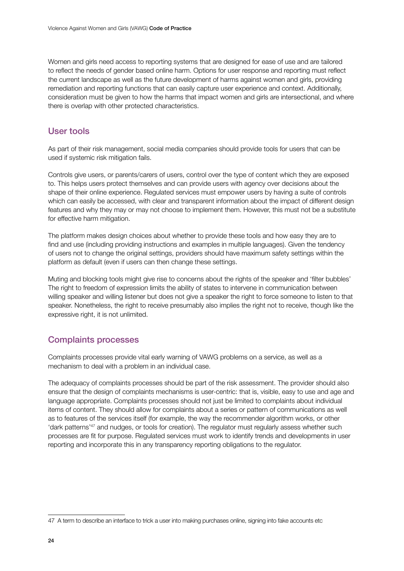Women and girls need access to reporting systems that are designed for ease of use and are tailored to reflect the needs of gender based online harm. Options for user response and reporting must reflect the current landscape as well as the future development of harms against women and girls, providing remediation and reporting functions that can easily capture user experience and context. Additionally, consideration must be given to how the harms that impact women and girls are intersectional, and where there is overlap with other protected characteristics.

#### User tools

As part of their risk management, social media companies should provide tools for users that can be used if systemic risk mitigation fails.

Controls give users, or parents/carers of users, control over the type of content which they are exposed to. This helps users protect themselves and can provide users with agency over decisions about the shape of their online experience. Regulated services must empower users by having a suite of controls which can easily be accessed, with clear and transparent information about the impact of different design features and why they may or may not choose to implement them. However, this must not be a substitute for effective harm mitigation.

The platform makes design choices about whether to provide these tools and how easy they are to find and use (including providing instructions and examples in multiple languages). Given the tendency of users not to change the original settings, providers should have maximum safety settings within the platform as default (even if users can then change these settings.

Muting and blocking tools might give rise to concerns about the rights of the speaker and 'filter bubbles' The right to freedom of expression limits the ability of states to intervene in communication between willing speaker and willing listener but does not give a speaker the right to force someone to listen to that speaker. Nonetheless, the right to receive presumably also implies the right not to receive, though like the expressive right, it is not unlimited.

### Complaints processes

Complaints processes provide vital early warning of VAWG problems on a service, as well as a mechanism to deal with a problem in an individual case.

The adequacy of complaints processes should be part of the risk assessment. The provider should also ensure that the design of complaints mechanisms is user-centric: that is, visible, easy to use and age and language appropriate. Complaints processes should not just be limited to complaints about individual items of content. They should allow for complaints about a series or pattern of communications as well as to features of the services itself (for example, the way the recommender algorithm works, or other 'dark patterns'47 and nudges, or tools for creation). The regulator must regularly assess whether such processes are fit for purpose. Regulated services must work to identify trends and developments in user reporting and incorporate this in any transparency reporting obligations to the regulator.

<sup>47</sup> A term to describe an interface to trick a user into making purchases online, signing into fake accounts etc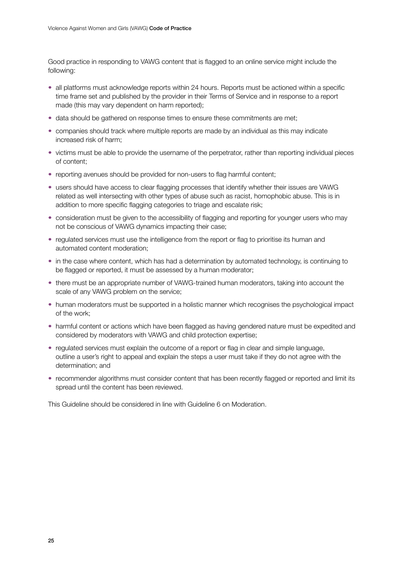Good practice in responding to VAWG content that is flagged to an online service might include the following:

- all platforms must acknowledge reports within 24 hours. Reports must be actioned within a specific time frame set and published by the provider in their Terms of Service and in response to a report made (this may vary dependent on harm reported);
- data should be gathered on response times to ensure these commitments are met;
- companies should track where multiple reports are made by an individual as this may indicate increased risk of harm;
- victims must be able to provide the username of the perpetrator, rather than reporting individual pieces of content;
- reporting avenues should be provided for non-users to flag harmful content;
- users should have access to clear flagging processes that identify whether their issues are VAWG related as well intersecting with other types of abuse such as racist, homophobic abuse. This is in addition to more specific flagging categories to triage and escalate risk;
- consideration must be given to the accessibility of flagging and reporting for younger users who may not be conscious of VAWG dynamics impacting their case;
- regulated services must use the intelligence from the report or flag to prioritise its human and automated content moderation;
- in the case where content, which has had a determination by automated technology, is continuing to be flagged or reported, it must be assessed by a human moderator;
- there must be an appropriate number of VAWG-trained human moderators, taking into account the scale of any VAWG problem on the service;
- human moderators must be supported in a holistic manner which recognises the psychological impact of the work;
- harmful content or actions which have been flagged as having gendered nature must be expedited and considered by moderators with VAWG and child protection expertise;
- regulated services must explain the outcome of a report or flag in clear and simple language, outline a user's right to appeal and explain the steps a user must take if they do not agree with the determination; and
- recommender algorithms must consider content that has been recently flagged or reported and limit its spread until the content has been reviewed.

This Guideline should be considered in line with Guideline 6 on Moderation.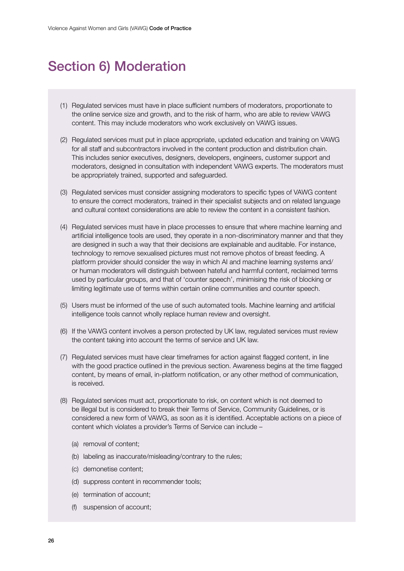# <span id="page-25-0"></span>Section 6) Moderation

- (1) Regulated services must have in place sufficient numbers of moderators, proportionate to the online service size and growth, and to the risk of harm, who are able to review VAWG content. This may include moderators who work exclusively on VAWG issues.
- (2) Regulated services must put in place appropriate, updated education and training on VAWG for all staff and subcontractors involved in the content production and distribution chain. This includes senior executives, designers, developers, engineers, customer support and moderators, designed in consultation with independent VAWG experts. The moderators must be appropriately trained, supported and safeguarded.
- (3) Regulated services must consider assigning moderators to specific types of VAWG content to ensure the correct moderators, trained in their specialist subjects and on related language and cultural context considerations are able to review the content in a consistent fashion.
- (4) Regulated services must have in place processes to ensure that where machine learning and artificial intelligence tools are used, they operate in a non-discriminatory manner and that they are designed in such a way that their decisions are explainable and auditable. For instance, technology to remove sexualised pictures must not remove photos of breast feeding. A platform provider should consider the way in which AI and machine learning systems and/ or human moderators will distinguish between hateful and harmful content, reclaimed terms used by particular groups, and that of 'counter speech', minimising the risk of blocking or limiting legitimate use of terms within certain online communities and counter speech.
- (5) Users must be informed of the use of such automated tools. Machine learning and artificial intelligence tools cannot wholly replace human review and oversight.
- (6) If the VAWG content involves a person protected by UK law, regulated services must review the content taking into account the terms of service and UK law.
- (7) Regulated services must have clear timeframes for action against flagged content, in line with the good practice outlined in the previous section. Awareness begins at the time flagged content, by means of email, in-platform notification, or any other method of communication, is received.
- (8) Regulated services must act, proportionate to risk, on content which is not deemed to be illegal but is considered to break their Terms of Service, Community Guidelines, or is considered a new form of VAWG, as soon as it is identified. Acceptable actions on a piece of content which violates a provider's Terms of Service can include –
	- (a) removal of content;
	- (b) labeling as inaccurate/misleading/contrary to the rules;
	- (c) demonetise content;
	- (d) suppress content in recommender tools;
	- (e) termination of account;
	- (f) suspension of account;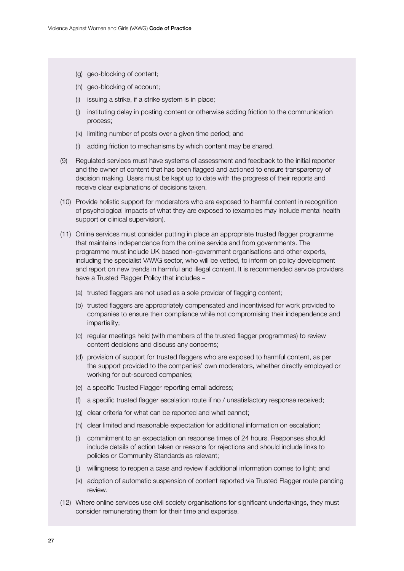- (g) geo-blocking of content;
- (h) geo-blocking of account;
- (i) issuing a strike, if a strike system is in place;
- (j) instituting delay in posting content or otherwise adding friction to the communication process;
- (k) limiting number of posts over a given time period; and
- (l) adding friction to mechanisms by which content may be shared.
- (9) Regulated services must have systems of assessment and feedback to the initial reporter and the owner of content that has been flagged and actioned to ensure transparency of decision making. Users must be kept up to date with the progress of their reports and receive clear explanations of decisions taken.
- (10) Provide holistic support for moderators who are exposed to harmful content in recognition of psychological impacts of what they are exposed to (examples may include mental health support or clinical supervision).
- (11) Online services must consider putting in place an appropriate trusted flagger programme that maintains independence from the online service and from governments. The programme must include UK based non–government organisations and other experts, including the specialist VAWG sector, who will be vetted, to inform on policy development and report on new trends in harmful and illegal content. It is recommended service providers have a Trusted Flagger Policy that includes –
	- (a) trusted flaggers are not used as a sole provider of flagging content;
	- (b) trusted flaggers are appropriately compensated and incentivised for work provided to companies to ensure their compliance while not compromising their independence and impartiality;
	- (c) regular meetings held (with members of the trusted flagger programmes) to review content decisions and discuss any concerns;
	- (d) provision of support for trusted flaggers who are exposed to harmful content, as per the support provided to the companies' own moderators, whether directly employed or working for out-sourced companies;
	- (e) a specific Trusted Flagger reporting email address;
	- (f) a specific trusted flagger escalation route if no / unsatisfactory response received;
	- (g) clear criteria for what can be reported and what cannot;
	- (h) clear limited and reasonable expectation for additional information on escalation;
	- (i) commitment to an expectation on response times of 24 hours. Responses should include details of action taken or reasons for rejections and should include links to policies or Community Standards as relevant;
	- (j) willingness to reopen a case and review if additional information comes to light; and
	- (k) adoption of automatic suspension of content reported via Trusted Flagger route pending review.
- (12) Where online services use civil society organisations for significant undertakings, they must consider remunerating them for their time and expertise.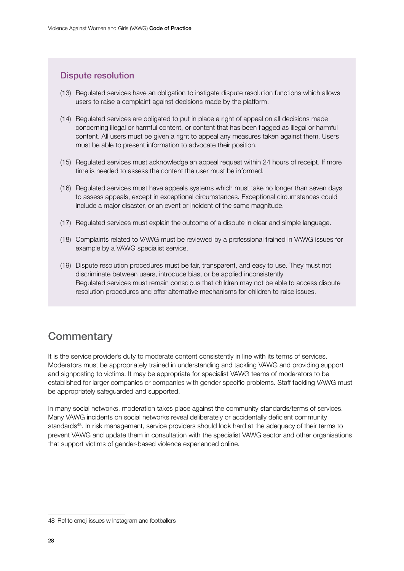### <span id="page-27-0"></span>Dispute resolution

- (13) Regulated services have an obligation to instigate dispute resolution functions which allows users to raise a complaint against decisions made by the platform.
- (14) Regulated services are obligated to put in place a right of appeal on all decisions made concerning illegal or harmful content, or content that has been flagged as illegal or harmful content. All users must be given a right to appeal any measures taken against them. Users must be able to present information to advocate their position.
- (15) Regulated services must acknowledge an appeal request within 24 hours of receipt. If more time is needed to assess the content the user must be informed.
- (16) Regulated services must have appeals systems which must take no longer than seven days to assess appeals, except in exceptional circumstances. Exceptional circumstances could include a major disaster, or an event or incident of the same magnitude.
- (17) Regulated services must explain the outcome of a dispute in clear and simple language.
- (18) Complaints related to VAWG must be reviewed by a professional trained in VAWG issues for example by a VAWG specialist service.
- (19) Dispute resolution procedures must be fair, transparent, and easy to use. They must not discriminate between users, introduce bias, or be applied inconsistently Regulated services must remain conscious that children may not be able to access dispute resolution procedures and offer alternative mechanisms for children to raise issues.

### **Commentary**

It is the service provider's duty to moderate content consistently in line with its terms of services. Moderators must be appropriately trained in understanding and tackling VAWG and providing support and signposting to victims. It may be appropriate for specialist VAWG teams of moderators to be established for larger companies or companies with gender specific problems. Staff tackling VAWG must be appropriately safeguarded and supported.

In many social networks, moderation takes place against the community standards/terms of services. Many VAWG incidents on social networks reveal deliberately or accidentally deficient community standards<sup>48</sup>. In risk management, service providers should look hard at the adequacy of their terms to prevent VAWG and update them in consultation with the specialist VAWG sector and other organisations that support victims of gender-based violence experienced online.

<sup>48</sup> Ref to emoji issues w Instagram and footballers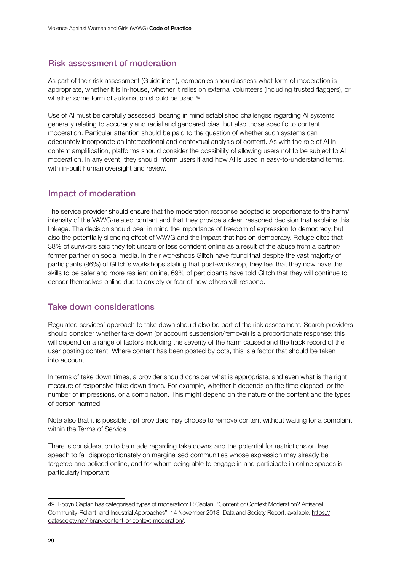#### Risk assessment of moderation

As part of their risk assessment (Guideline 1), companies should assess what form of moderation is appropriate, whether it is in-house, whether it relies on external volunteers (including trusted flaggers), or whether some form of automation should be used.<sup>49</sup>

Use of AI must be carefully assessed, bearing in mind established challenges regarding AI systems generally relating to accuracy and racial and gendered bias, but also those specific to content moderation. Particular attention should be paid to the question of whether such systems can adequately incorporate an intersectional and contextual analysis of content. As with the role of AI in content amplification, platforms should consider the possibility of allowing users not to be subject to AI moderation. In any event, they should inform users if and how AI is used in easy-to-understand terms, with in-built human oversight and review.

#### Impact of moderation

The service provider should ensure that the moderation response adopted is proportionate to the harm/ intensity of the VAWG-related content and that they provide a clear, reasoned decision that explains this linkage. The decision should bear in mind the importance of freedom of expression to democracy, but also the potentially silencing effect of VAWG and the impact that has on democracy. Refuge cites that 38% of survivors said they felt unsafe or less confident online as a result of the abuse from a partner/ former partner on social media. In their workshops Glitch have found that despite the vast majority of participants (96%) of Glitch's workshops stating that post-workshop, they feel that they now have the skills to be safer and more resilient online, 69% of participants have told Glitch that they will continue to censor themselves online due to anxiety or fear of how others will respond.

#### Take down considerations

Regulated services' approach to take down should also be part of the risk assessment. Search providers should consider whether take down (or account suspension/removal) is a proportionate response: this will depend on a range of factors including the severity of the harm caused and the track record of the user posting content. Where content has been posted by bots, this is a factor that should be taken into account.

In terms of take down times, a provider should consider what is appropriate, and even what is the right measure of responsive take down times. For example, whether it depends on the time elapsed, or the number of impressions, or a combination. This might depend on the nature of the content and the types of person harmed.

Note also that it is possible that providers may choose to remove content without waiting for a complaint within the Terms of Service.

There is consideration to be made regarding take downs and the potential for restrictions on free speech to fall disproportionately on marginalised communities whose expression may already be targeted and policed online, and for whom being able to engage in and participate in online spaces is particularly important.

<sup>49</sup> Robyn Caplan has categorised types of moderation: R Caplan, "Content or Context Moderation? Artisanal, Community-Reliant, and Industrial Approaches", 14 November 2018, Data and Society Report, available: [https://](https://datasociety.net/library/content-or-context-moderation/) [datasociety.net/library/content-or-context-moderation/.](https://datasociety.net/library/content-or-context-moderation/)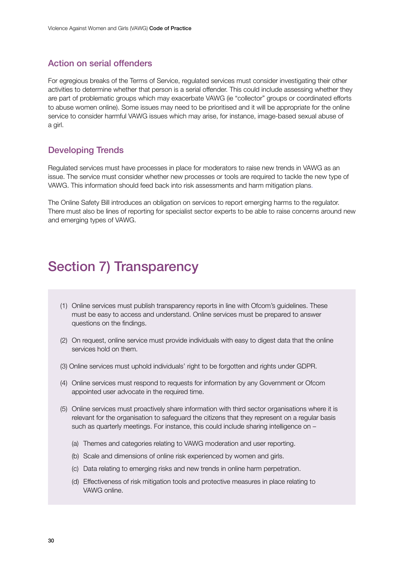#### <span id="page-29-0"></span>Action on serial offenders

For egregious breaks of the Terms of Service, regulated services must consider investigating their other activities to determine whether that person is a serial offender. This could include assessing whether they are part of problematic groups which may exacerbate VAWG (ie "collector" groups or coordinated efforts to abuse women online). Some issues may need to be prioritised and it will be appropriate for the online service to consider harmful VAWG issues which may arise, for instance, image-based sexual abuse of a girl.

#### Developing Trends

Regulated services must have processes in place for moderators to raise new trends in VAWG as an issue. The service must consider whether new processes or tools are required to tackle the new type of VAWG. This information should feed back into risk assessments and harm mitigation plans.

The Online Safety Bill introduces an obligation on services to report emerging harms to the regulator. There must also be lines of reporting for specialist sector experts to be able to raise concerns around new and emerging types of VAWG.

### Section 7) Transparency

- (1) Online services must publish transparency reports in line with Ofcom's guidelines. These must be easy to access and understand. Online services must be prepared to answer questions on the findings.
- (2) On request, online service must provide individuals with easy to digest data that the online services hold on them.
- (3) Online services must uphold individuals' right to be forgotten and rights under GDPR.
- (4) Online services must respond to requests for information by any Government or Ofcom appointed user advocate in the required time.
- (5) Online services must proactively share information with third sector organisations where it is relevant for the organisation to safeguard the citizens that they represent on a regular basis such as quarterly meetings. For instance, this could include sharing intelligence on –
	- (a) Themes and categories relating to VAWG moderation and user reporting.
	- (b) Scale and dimensions of online risk experienced by women and girls.
	- (c) Data relating to emerging risks and new trends in online harm perpetration.
	- (d) Effectiveness of risk mitigation tools and protective measures in place relating to VAWG online.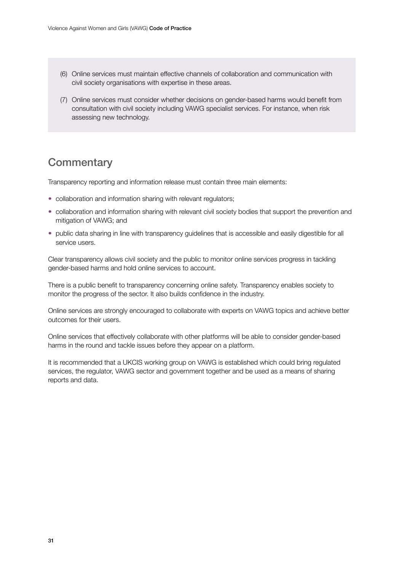- <span id="page-30-0"></span>(6) Online services must maintain effective channels of collaboration and communication with civil society organisations with expertise in these areas.
- (7) Online services must consider whether decisions on gender-based harms would benefit from consultation with civil society including VAWG specialist services. For instance, when risk assessing new technology.

### **Commentary**

Transparency reporting and information release must contain three main elements:

- collaboration and information sharing with relevant regulators;
- collaboration and information sharing with relevant civil society bodies that support the prevention and mitigation of VAWG; and
- public data sharing in line with transparency guidelines that is accessible and easily digestible for all service users.

Clear transparency allows civil society and the public to monitor online services progress in tackling gender-based harms and hold online services to account.

There is a public benefit to transparency concerning online safety. Transparency enables society to monitor the progress of the sector. It also builds confidence in the industry.

Online services are strongly encouraged to collaborate with experts on VAWG topics and achieve better outcomes for their users.

Online services that effectively collaborate with other platforms will be able to consider gender-based harms in the round and tackle issues before they appear on a platform.

It is recommended that a UKCIS working group on VAWG is established which could bring regulated services, the regulator, VAWG sector and government together and be used as a means of sharing reports and data.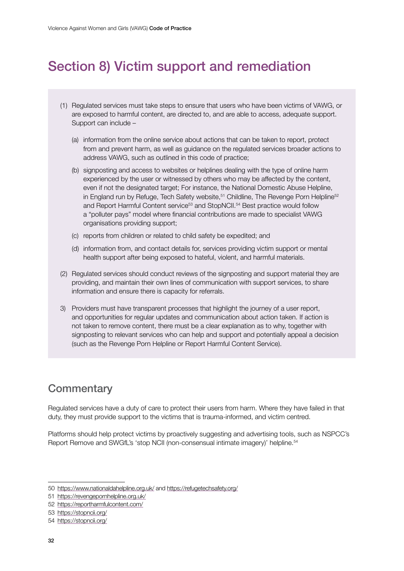# <span id="page-31-0"></span>Section 8) Victim support and remediation

- (1) Regulated services must take steps to ensure that users who have been victims of VAWG, or are exposed to harmful content, are directed to, and are able to access, adequate support. Support can include –
	- (a) information from the online service about actions that can be taken to report, protect from and prevent harm, as well as guidance on the regulated services broader actions to address VAWG, such as outlined in this code of practice;
	- (b) signposting and access to websites or helplines dealing with the type of online harm experienced by the user or witnessed by others who may be affected by the content, even if not the designated target; For instance, the National Domestic Abuse Helpline, in England run by Refuge, Tech Safety website, $51$  Childline, The Revenge Porn Helpline $52$ and Report Harmful Content service<sup>53</sup> and StopNCII.<sup>54</sup> Best practice would follow a "polluter pays" model where financial contributions are made to specialist VAWG organisations providing support;
	- (c) reports from children or related to child safety be expedited; and
	- (d) information from, and contact details for, services providing victim support or mental health support after being exposed to hateful, violent, and harmful materials.
- (2) Regulated services should conduct reviews of the signposting and support material they are providing, and maintain their own lines of communication with support services, to share information and ensure there is capacity for referrals.
- 3) Providers must have transparent processes that highlight the journey of a user report, and opportunities for regular updates and communication about action taken. If action is not taken to remove content, there must be a clear explanation as to why, together with signposting to relevant services who can help and support and potentially appeal a decision (such as the Revenge Porn Helpline or Report Harmful Content Service).

### **Commentary**

Regulated services have a duty of care to protect their users from harm. Where they have failed in that duty, they must provide support to the victims that is trauma-informed, and victim centred.

Platforms should help protect victims by proactively suggesting and advertising tools, such as NSPCC's Report Remove and SWGfL's 'stop NCII (non-consensual intimate imagery)' helpline.54

<sup>50</sup> <https://www.nationaldahelpline.org.uk/> and<https://refugetechsafety.org/>

<sup>51</sup> <https://revengepornhelpline.org.uk/>

<sup>52</sup> <https://reportharmfulcontent.com/>

<sup>53</sup> <https://stopncii.org/>

<sup>54</sup> <https://stopncii.org/>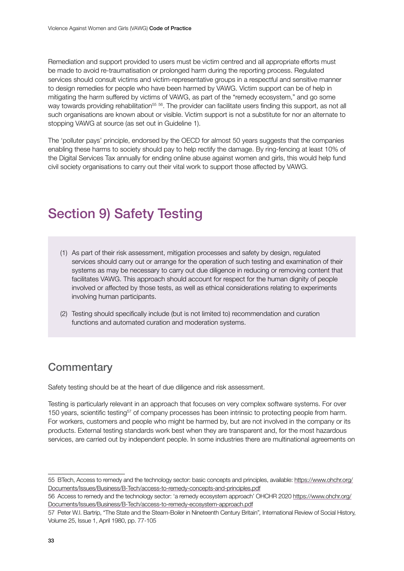<span id="page-32-0"></span>Remediation and support provided to users must be victim centred and all appropriate efforts must be made to avoid re-traumatisation or prolonged harm during the reporting process. Regulated services should consult victims and victim-representative groups in a respectful and sensitive manner to design remedies for people who have been harmed by VAWG. Victim support can be of help in mitigating the harm suffered by victims of VAWG, as part of the "remedy ecosystem," and go some way towards providing rehabilitation<sup>55 56</sup>. The provider can facilitate users finding this support, as not all such organisations are known about or visible. Victim support is not a substitute for nor an alternate to stopping VAWG at source (as set out in Guideline 1).

The 'polluter pays' principle, endorsed by the OECD for almost 50 years suggests that the companies enabling these harms to society should pay to help rectify the damage. By ring-fencing at least 10% of the Digital Services Tax annually for ending online abuse against women and girls, this would help fund civil society organisations to carry out their vital work to support those affected by VAWG.

# Section 9) Safety Testing

- (1) As part of their risk assessment, mitigation processes and safety by design, regulated services should carry out or arrange for the operation of such testing and examination of their systems as may be necessary to carry out due diligence in reducing or removing content that facilitates VAWG. This approach should account for respect for the human dignity of people involved or affected by those tests, as well as ethical considerations relating to experiments involving human participants.
- (2) Testing should specifically include (but is not limited to) recommendation and curation functions and automated curation and moderation systems.

### **Commentary**

Safety testing should be at the heart of due diligence and risk assessment.

Testing is particularly relevant in an approach that focuses on very complex software systems. For over 150 years, scientific testing<sup>57</sup> of company processes has been intrinsic to protecting people from harm. For workers, customers and people who might be harmed by, but are not involved in the company or its products. External testing standards work best when they are transparent and, for the most hazardous services, are carried out by independent people. In some industries there are multinational agreements on

<sup>55</sup> BTech, Access to remedy and the technology sector: basic concepts and principles, available: [https://www.ohchr.org/](https://www.ohchr.org/Documents/Issues/Business/B-Tech/access-to-remedy-concepts-and-principles.pdf) [Documents/Issues/Business/B-Tech/access-to-remedy-concepts-and-principles.pdf](https://www.ohchr.org/Documents/Issues/Business/B-Tech/access-to-remedy-concepts-and-principles.pdf)

<sup>56</sup> Access to remedy and the technology sector: 'a remedy ecosystem approach' OHCHR 2020 [https://www.ohchr.org/](https://www.ohchr.org/Documents/Issues/Business/B-Tech/access-to-remedy-ecosystem-approach.pdf) [Documents/Issues/Business/B-Tech/access-to-remedy-ecosystem-approach.pdf](https://www.ohchr.org/Documents/Issues/Business/B-Tech/access-to-remedy-ecosystem-approach.pdf)

<sup>57</sup> Peter W.I. Bartrip, "The State and the Steam-Boiler in Nineteenth Century Britain"*,* International Review of Social History, Volume 25, Issue 1, April 1980, pp. 77-105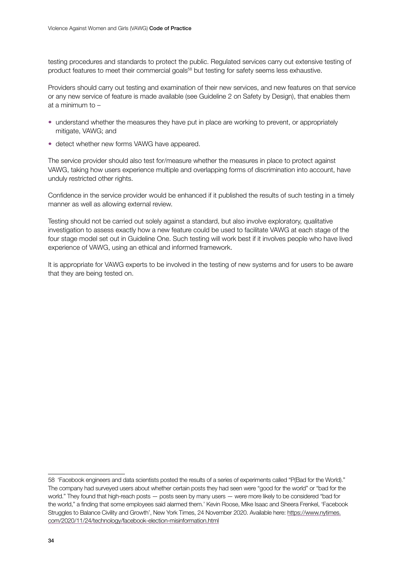testing procedures and standards to protect the public. Regulated services carry out extensive testing of product features to meet their commercial goals<sup>58</sup> but testing for safety seems less exhaustive.

Providers should carry out testing and examination of their new services, and new features on that service or any new service of feature is made available (see Guideline 2 on Safety by Design), that enables them at a minimum to –

- understand whether the measures they have put in place are working to prevent, or appropriately mitigate, VAWG; and
- detect whether new forms VAWG have appeared.

The service provider should also test for/measure whether the measures in place to protect against VAWG, taking how users experience multiple and overlapping forms of discrimination into account, have unduly restricted other rights.

Confidence in the service provider would be enhanced if it published the results of such testing in a timely manner as well as allowing external review.

Testing should not be carried out solely against a standard, but also involve exploratory, qualitative investigation to assess exactly how a new feature could be used to facilitate VAWG at each stage of the four stage model set out in Guideline One. Such testing will work best if it involves people who have lived experience of VAWG, using an ethical and informed framework.

It is appropriate for VAWG experts to be involved in the testing of new systems and for users to be aware that they are being tested on.

<sup>58</sup> 'Facebook engineers and data scientists posted the results of a series of experiments called "P(Bad for the World)." The company had surveyed users about whether certain posts they had seen were "good for the world" or "bad for the world." They found that high-reach posts — posts seen by many users — were more likely to be considered "bad for the world," a finding that some employees said alarmed them.' Kevin Roose, Mike Isaac and Sheera Frenkel, 'Facebook Struggles to Balance Civility and Growth', New York Times, 24 November 2020. Available here: [https://www.nytimes.](https://www.nytimes.com/2020/11/24/technology/facebook-election-misinformation.html) [com/2020/11/24/technology/facebook-election-misinformation.html](https://www.nytimes.com/2020/11/24/technology/facebook-election-misinformation.html)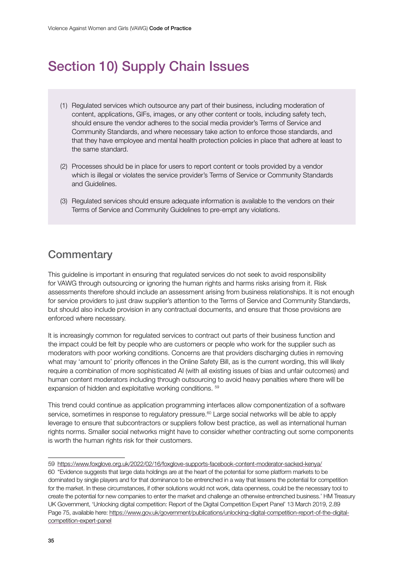# <span id="page-34-0"></span>Section 10) Supply Chain Issues

- (1) Regulated services which outsource any part of their business, including moderation of content, applications, GIFs, images, or any other content or tools, including safety tech, should ensure the vendor adheres to the social media provider's Terms of Service and Community Standards, and where necessary take action to enforce those standards, and that they have employee and mental health protection policies in place that adhere at least to the same standard.
- (2) Processes should be in place for users to report content or tools provided by a vendor which is illegal or violates the service provider's Terms of Service or Community Standards and Guidelines.
- (3) Regulated services should ensure adequate information is available to the vendors on their Terms of Service and Community Guidelines to pre-empt any violations.

### **Commentary**

This guideline is important in ensuring that regulated services do not seek to avoid responsibility for VAWG through outsourcing or ignoring the human rights and harms risks arising from it. Risk assessments therefore should include an assessment arising from business relationships. It is not enough for service providers to just draw supplier's attention to the Terms of Service and Community Standards, but should also include provision in any contractual documents, and ensure that those provisions are enforced where necessary.

It is increasingly common for regulated services to contract out parts of their business function and the impact could be felt by people who are customers or people who work for the supplier such as moderators with poor working conditions. Concerns are that providers discharging duties in removing what may 'amount to' priority offences in the Online Safety Bill, as is the current wording, this will likely require a combination of more sophisticated AI (with all existing issues of bias and unfair outcomes) and human content moderators including through outsourcing to avoid heavy penalties where there will be expansion of hidden and exploitative working conditions. 59

This trend could continue as application programming interfaces allow componentization of a software service, sometimes in response to regulatory pressure.<sup>60</sup> Large social networks will be able to apply leverage to ensure that subcontractors or suppliers follow best practice, as well as international human rights norms. Smaller social networks might have to consider whether contracting out some components is worth the human rights risk for their customers.

<sup>59</sup> <https://www.foxglove.org.uk/2022/02/16/foxglove-supports-facebook-content-moderator-sacked-kenya/>

<sup>60</sup> "Evidence suggests that large data holdings are at the heart of the potential for some platform markets to be dominated by single players and for that dominance to be entrenched in a way that lessens the potential for competition for the market. In these circumstances, if other solutions would not work, data openness, could be the necessary tool to create the potential for new companies to enter the market and challenge an otherwise entrenched business.' HM Treasury UK Government, 'Unlocking digital competition: Report of the Digital Competition Expert Panel' 13 March 2019, 2.89 Page 75, available here: [https://www.gov.uk/government/publications/unlocking-digital-competition-report-of-the-digital](https://www.gov.uk/government/publications/unlocking-digital-competition-report-of-the-digital-competition-expert-panel)[competition-expert-panel](https://www.gov.uk/government/publications/unlocking-digital-competition-report-of-the-digital-competition-expert-panel)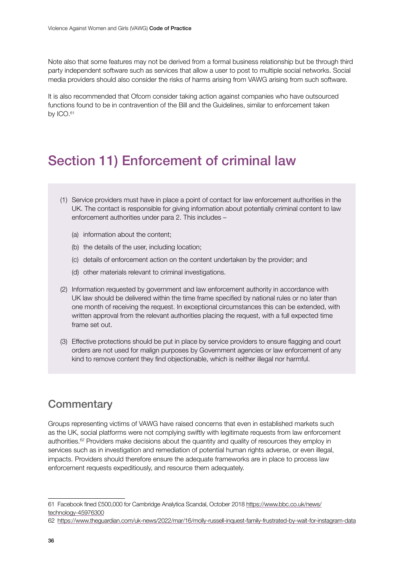<span id="page-35-0"></span>Note also that some features may not be derived from a formal business relationship but be through third party independent software such as services that allow a user to post to multiple social networks. Social media providers should also consider the risks of harms arising from VAWG arising from such software.

It is also recommended that Ofcom consider taking action against companies who have outsourced functions found to be in contravention of the Bill and the Guidelines, similar to enforcement taken by ICO.<sup>61</sup>

# Section 11) Enforcement of criminal law

- (1) Service providers must have in place a point of contact for law enforcement authorities in the UK. The contact is responsible for giving information about potentially criminal content to law enforcement authorities under para 2. This includes –
	- (a) information about the content;
	- (b) the details of the user, including location;
	- (c) details of enforcement action on the content undertaken by the provider; and
	- (d) other materials relevant to criminal investigations.
- (2) Information requested by government and law enforcement authority in accordance with UK law should be delivered within the time frame specified by national rules or no later than one month of receiving the request. In exceptional circumstances this can be extended, with written approval from the relevant authorities placing the request, with a full expected time frame set out.
- (3) Effective protections should be put in place by service providers to ensure flagging and court orders are not used for malign purposes by Government agencies or law enforcement of any kind to remove content they find objectionable, which is neither illegal nor harmful.

### **Commentary**

Groups representing victims of VAWG have raised concerns that even in established markets such as the UK, social platforms were not complying swiftly with legitimate requests from law enforcement authorities.62 Providers make decisions about the quantity and quality of resources they employ in services such as in investigation and remediation of potential human rights adverse, or even illegal, impacts. Providers should therefore ensure the adequate frameworks are in place to process law enforcement requests expeditiously, and resource them adequately.

<sup>61</sup> Facebook fined £500,000 for Cambridge Analytica Scandal, October 2018 [https://www.bbc.co.uk/news/](https://www.bbc.co.uk/news/technology-45976300) [technology-45976300](https://www.bbc.co.uk/news/technology-45976300)

<sup>62</sup> <https://www.theguardian.com/uk-news/2022/mar/16/molly-russell-inquest-family-frustrated-by-wait-for-instagram-data>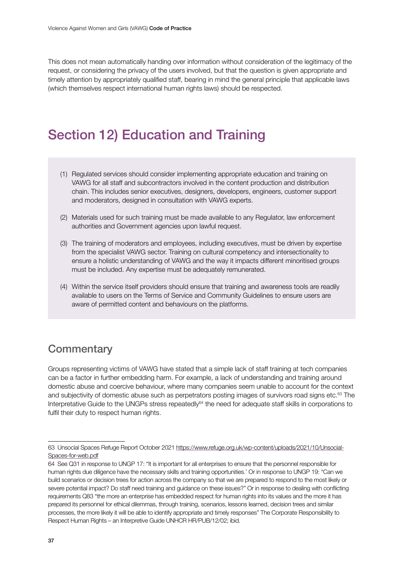<span id="page-36-0"></span>This does not mean automatically handing over information without consideration of the legitimacy of the request, or considering the privacy of the users involved, but that the question is given appropriate and timely attention by appropriately qualified staff, bearing in mind the general principle that applicable laws (which themselves respect international human rights laws) should be respected.

# Section 12) Education and Training

- (1) Regulated services should consider implementing appropriate education and training on VAWG for all staff and subcontractors involved in the content production and distribution chain. This includes senior executives, designers, developers, engineers, customer support and moderators, designed in consultation with VAWG experts.
- (2) Materials used for such training must be made available to any Regulator, law enforcement authorities and Government agencies upon lawful request.
- (3) The training of moderators and employees, including executives, must be driven by expertise from the specialist VAWG sector. Training on cultural competency and intersectionality to ensure a holistic understanding of VAWG and the way it impacts different minoritised groups must be included. Any expertise must be adequately remunerated.
- (4) Within the service itself providers should ensure that training and awareness tools are readily available to users on the Terms of Service and Community Guidelines to ensure users are aware of permitted content and behaviours on the platforms.

### **Commentary**

Groups representing victims of VAWG have stated that a simple lack of staff training at tech companies can be a factor in further embedding harm. For example, a lack of understanding and training around domestic abuse and coercive behaviour, where many companies seem unable to account for the context and subjectivity of domestic abuse such as perpetrators posting images of survivors road signs etc.<sup>63</sup> The Interpretative Guide to the UNGPs stress repeatedly<sup>64</sup> the need for adequate staff skills in corporations to fulfil their duty to respect human rights.

<sup>63</sup> Unsocial Spaces Refuge Report October 2021 [https://www.refuge.org.uk/wp-content/uploads/2021/10/Unsocial-](https://www.refuge.org.uk/wp-content/uploads/2021/10/Unsocial-Spaces-for-web.pdf)[Spaces-for-web.pdf](https://www.refuge.org.uk/wp-content/uploads/2021/10/Unsocial-Spaces-for-web.pdf)

<sup>64</sup> See Q31 in response to UNGP 17: "It is important for all enterprises to ensure that the personnel responsible for human rights due diligence have the necessary skills and training opportunities.' Or in response to UNGP 19: "Can we build scenarios or decision trees for action across the company so that we are prepared to respond to the most likely or severe potential impact? Do staff need training and guidance on these issues?" Or in response to dealing with conflicting requirements Q83 "the more an enterprise has embedded respect for human rights into its values and the more it has prepared its personnel for ethical dilemmas, through training, scenarios, lessons learned, decision trees and similar processes, the more likely it will be able to identify appropriate and timely responses" The Corporate Responsibility to Respect Human Rights – an Interpretive Guide UNHCR HR/PUB/12/02; ibid.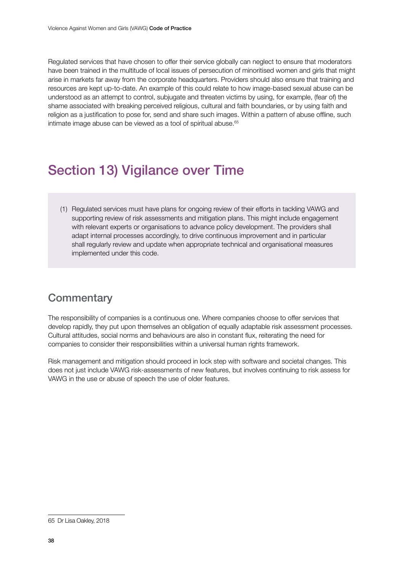<span id="page-37-0"></span>Regulated services that have chosen to offer their service globally can neglect to ensure that moderators have been trained in the multitude of local issues of persecution of minoritised women and girls that might arise in markets far away from the corporate headquarters. Providers should also ensure that training and resources are kept up-to-date. An example of this could relate to how image-based sexual abuse can be understood as an attempt to control, subjugate and threaten victims by using, for example, (fear of) the shame associated with breaking perceived religious, cultural and faith boundaries, or by using faith and religion as a justification to pose for, send and share such images. Within a pattern of abuse offline, such intimate image abuse can be viewed as a tool of spiritual abuse.<sup>65</sup>

# Section 13) Vigilance over Time

(1) Regulated services must have plans for ongoing review of their efforts in tackling VAWG and supporting review of risk assessments and mitigation plans. This might include engagement with relevant experts or organisations to advance policy development. The providers shall adapt internal processes accordingly, to drive continuous improvement and in particular shall regularly review and update when appropriate technical and organisational measures implemented under this code.

### **Commentary**

The responsibility of companies is a continuous one. Where companies choose to offer services that develop rapidly, they put upon themselves an obligation of equally adaptable risk assessment processes. Cultural attitudes, social norms and behaviours are also in constant flux, reiterating the need for companies to consider their responsibilities within a universal human rights framework.

Risk management and mitigation should proceed in lock step with software and societal changes. This does not just include VAWG risk-assessments of new features, but involves continuing to risk assess for VAWG in the use or abuse of speech the use of older features.

<sup>65</sup> Dr Lisa Oakley, 2018